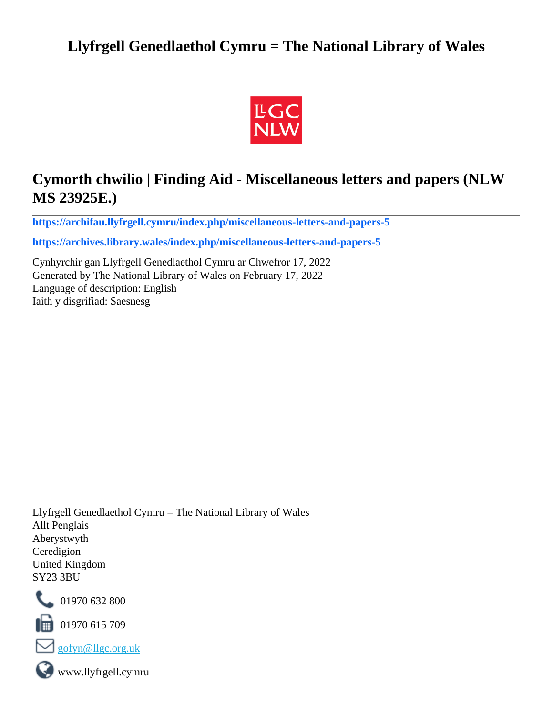# **Llyfrgell Genedlaethol Cymru = The National Library of Wales**



# **Cymorth chwilio | Finding Aid - Miscellaneous letters and papers (NLW MS 23925E.)**

**[https://archifau.llyfrgell.cymru/index.php/miscellaneous-letters-and-papers-5](https://archifau.llyfrgell.cymru/index.php/miscellaneous-letters-and-papers-5;isad?sf_culture=cy)**

**[https://archives.library.wales/index.php/miscellaneous-letters-and-papers-5](https://archives.library.wales/index.php/miscellaneous-letters-and-papers-5;isad?sf_culture=en)**

Cynhyrchir gan Llyfrgell Genedlaethol Cymru ar Chwefror 17, 2022 Generated by The National Library of Wales on February 17, 2022 Language of description: English Iaith y disgrifiad: Saesnesg

Llyfrgell Genedlaethol Cymru = The National Library of Wales Allt Penglais Aberystwyth Ceredigion United Kingdom SY23 3BU



101970 632 800

 $\blacksquare$  01970 615 709



www.llyfrgell.cymru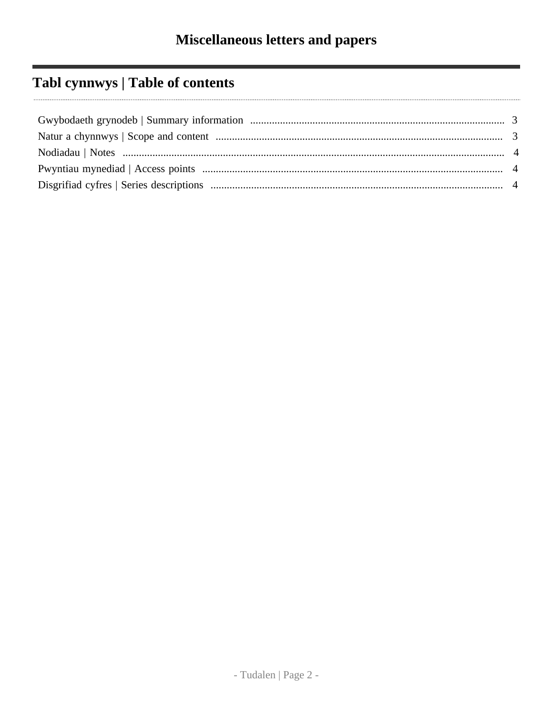# Tabl cynnwys | Table of contents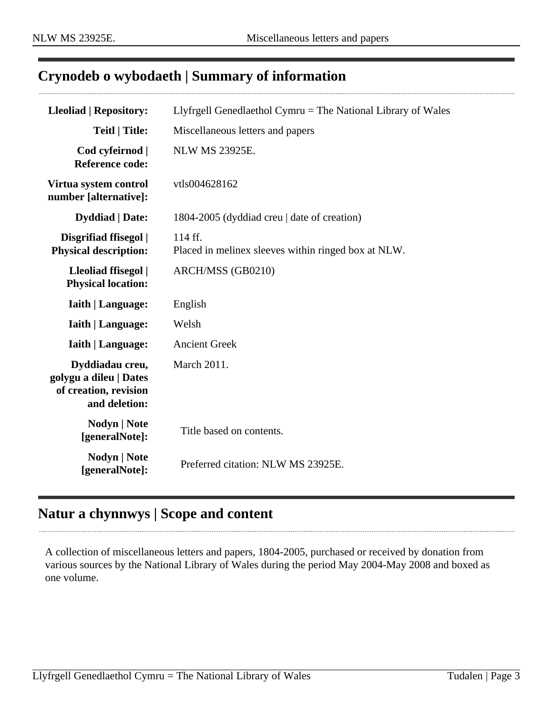## <span id="page-2-0"></span>**Crynodeb o wybodaeth | Summary of information**

| <b>Lleoliad   Repository:</b>                                                       | Llyfrgell Genedlaethol Cymru = The National Library of Wales   |
|-------------------------------------------------------------------------------------|----------------------------------------------------------------|
| <b>Teitl   Title:</b>                                                               | Miscellaneous letters and papers                               |
| Cod cyfeirnod  <br><b>Reference code:</b>                                           | <b>NLW MS 23925E.</b>                                          |
| Virtua system control<br>number [alternative]:                                      | vtls004628162                                                  |
| <b>Dyddiad</b>   Date:                                                              | 1804-2005 (dyddiad creu   date of creation)                    |
| Disgrifiad ffisegol  <br><b>Physical description:</b>                               | 114 ff.<br>Placed in melinex sleeves within ringed box at NLW. |
| Lleoliad ffisegol  <br><b>Physical location:</b>                                    | ARCH/MSS (GB0210)                                              |
| <b>Iaith   Language:</b>                                                            | English                                                        |
| <b>Iaith   Language:</b>                                                            | Welsh                                                          |
| <b>Iaith   Language:</b>                                                            | <b>Ancient Greek</b>                                           |
| Dyddiadau creu,<br>golygu a dileu   Dates<br>of creation, revision<br>and deletion: | March 2011.                                                    |
| <b>Nodyn   Note</b><br>[generalNote]:                                               | Title based on contents.                                       |
| <b>Nodyn   Note</b><br>[generalNote]:                                               | Preferred citation: NLW MS 23925E.                             |

## <span id="page-2-1"></span>**Natur a chynnwys | Scope and content**

A collection of miscellaneous letters and papers, 1804-2005, purchased or received by donation from various sources by the National Library of Wales during the period May 2004-May 2008 and boxed as one volume.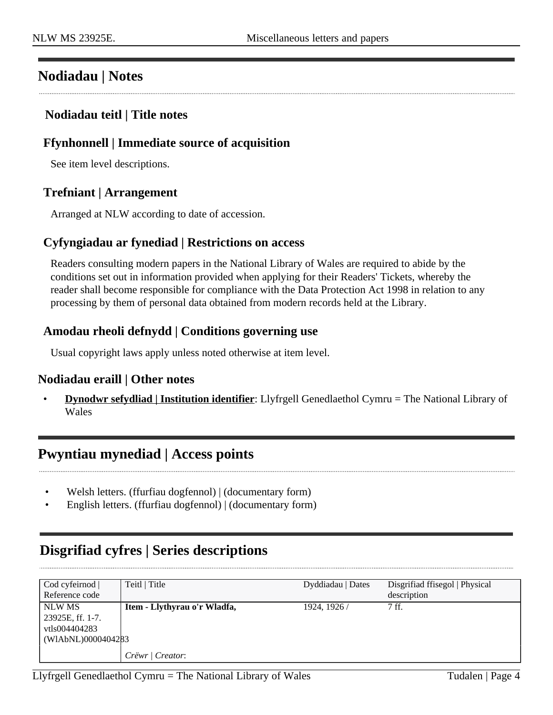### <span id="page-3-0"></span>**Nodiadau | Notes**

#### **Nodiadau teitl | Title notes**

#### **Ffynhonnell | Immediate source of acquisition**

See item level descriptions.

#### **Trefniant | Arrangement**

Arranged at NLW according to date of accession.

#### **Cyfyngiadau ar fynediad | Restrictions on access**

Readers consulting modern papers in the National Library of Wales are required to abide by the conditions set out in information provided when applying for their Readers' Tickets, whereby the reader shall become responsible for compliance with the Data Protection Act 1998 in relation to any processing by them of personal data obtained from modern records held at the Library.

#### **Amodau rheoli defnydd | Conditions governing use**

Usual copyright laws apply unless noted otherwise at item level.

#### **Nodiadau eraill | Other notes**

• **Dynodwr sefydliad | Institution identifier**: Llyfrgell Genedlaethol Cymru = The National Library of Wales

### <span id="page-3-1"></span>**Pwyntiau mynediad | Access points**

- Welsh letters. (ffurfiau dogfennol) | (documentary form)
- English letters. (ffurfiau dogfennol) | (documentary form)

## <span id="page-3-2"></span>**Disgrifiad cyfres | Series descriptions**

| $\text{Cod}$ cyfeirnod $\vert$ | Teitl   Title                | Dyddiadau   Dates | Disgrifiad ffisegol   Physical |
|--------------------------------|------------------------------|-------------------|--------------------------------|
| Reference code                 |                              |                   | description                    |
| NLW MS                         | Item - Llythyrau o'r Wladfa, | 1924, 1926 /      | 7 ff.                          |
| 23925E, ff. 1-7.               |                              |                   |                                |
| vtls004404283                  |                              |                   |                                |
| (WIAbNL)0000404283             |                              |                   |                                |
|                                | Crëwr / Creator:             |                   |                                |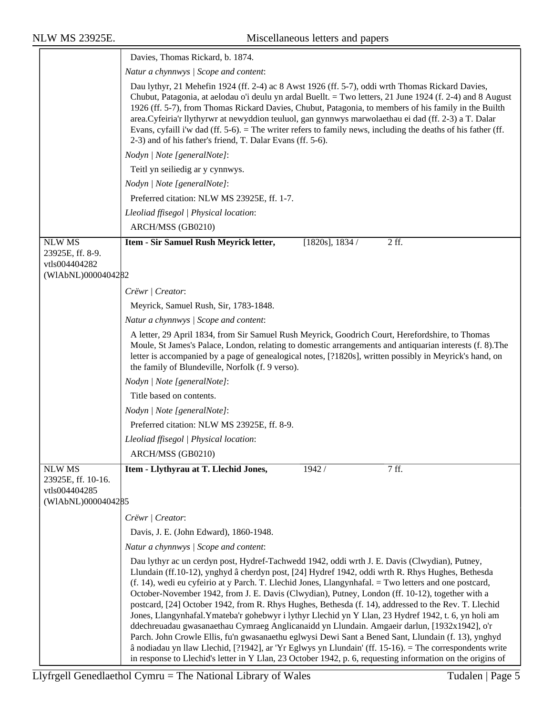|                                                                            | Davies, Thomas Rickard, b. 1874.                                                                                                                                                                                                                                                                                                                                                                                                                                                                                                                                                                                                                                                                                                                                                                                                                                                                                                                                                                                                                              |  |  |
|----------------------------------------------------------------------------|---------------------------------------------------------------------------------------------------------------------------------------------------------------------------------------------------------------------------------------------------------------------------------------------------------------------------------------------------------------------------------------------------------------------------------------------------------------------------------------------------------------------------------------------------------------------------------------------------------------------------------------------------------------------------------------------------------------------------------------------------------------------------------------------------------------------------------------------------------------------------------------------------------------------------------------------------------------------------------------------------------------------------------------------------------------|--|--|
|                                                                            | Natur a chynnwys / Scope and content:                                                                                                                                                                                                                                                                                                                                                                                                                                                                                                                                                                                                                                                                                                                                                                                                                                                                                                                                                                                                                         |  |  |
|                                                                            | Dau lythyr, 21 Mehefin 1924 (ff. 2-4) ac 8 Awst 1926 (ff. 5-7), oddi wrth Thomas Rickard Davies,<br>Chubut, Patagonia, at aelodau o'i deulu yn ardal Buellt. = Two letters, 21 June 1924 (f. 2-4) and 8 August<br>1926 (ff. 5-7), from Thomas Rickard Davies, Chubut, Patagonia, to members of his family in the Builth<br>area. Cyfeiria'r llythyrwr at newyddion teuluol, gan gynnwys marwolaethau ei dad (ff. 2-3) a T. Dalar<br>Evans, cyfaill i'w dad (ff. 5-6). = The writer refers to family news, including the deaths of his father (ff.<br>2-3) and of his father's friend, T. Dalar Evans (ff. 5-6).                                                                                                                                                                                                                                                                                                                                                                                                                                               |  |  |
|                                                                            | Nodyn   Note [generalNote]:                                                                                                                                                                                                                                                                                                                                                                                                                                                                                                                                                                                                                                                                                                                                                                                                                                                                                                                                                                                                                                   |  |  |
|                                                                            | Teitl yn seiliedig ar y cynnwys.                                                                                                                                                                                                                                                                                                                                                                                                                                                                                                                                                                                                                                                                                                                                                                                                                                                                                                                                                                                                                              |  |  |
|                                                                            | Nodyn   Note [generalNote]:                                                                                                                                                                                                                                                                                                                                                                                                                                                                                                                                                                                                                                                                                                                                                                                                                                                                                                                                                                                                                                   |  |  |
|                                                                            | Preferred citation: NLW MS 23925E, ff. 1-7.                                                                                                                                                                                                                                                                                                                                                                                                                                                                                                                                                                                                                                                                                                                                                                                                                                                                                                                                                                                                                   |  |  |
|                                                                            | Lleoliad ffisegol   Physical location:                                                                                                                                                                                                                                                                                                                                                                                                                                                                                                                                                                                                                                                                                                                                                                                                                                                                                                                                                                                                                        |  |  |
|                                                                            | ARCH/MSS (GB0210)                                                                                                                                                                                                                                                                                                                                                                                                                                                                                                                                                                                                                                                                                                                                                                                                                                                                                                                                                                                                                                             |  |  |
| <b>NLW MS</b>                                                              | $2$ ff.<br>Item - Sir Samuel Rush Meyrick letter,<br>$[1820s]$ , 1834/                                                                                                                                                                                                                                                                                                                                                                                                                                                                                                                                                                                                                                                                                                                                                                                                                                                                                                                                                                                        |  |  |
| 23925E, ff. 8-9.                                                           |                                                                                                                                                                                                                                                                                                                                                                                                                                                                                                                                                                                                                                                                                                                                                                                                                                                                                                                                                                                                                                                               |  |  |
| vtls004404282<br>(WIAbNL)0000404282                                        |                                                                                                                                                                                                                                                                                                                                                                                                                                                                                                                                                                                                                                                                                                                                                                                                                                                                                                                                                                                                                                                               |  |  |
|                                                                            | Crëwr   Creator:                                                                                                                                                                                                                                                                                                                                                                                                                                                                                                                                                                                                                                                                                                                                                                                                                                                                                                                                                                                                                                              |  |  |
|                                                                            | Meyrick, Samuel Rush, Sir, 1783-1848.                                                                                                                                                                                                                                                                                                                                                                                                                                                                                                                                                                                                                                                                                                                                                                                                                                                                                                                                                                                                                         |  |  |
|                                                                            | Natur a chynnwys / Scope and content:                                                                                                                                                                                                                                                                                                                                                                                                                                                                                                                                                                                                                                                                                                                                                                                                                                                                                                                                                                                                                         |  |  |
|                                                                            | A letter, 29 April 1834, from Sir Samuel Rush Meyrick, Goodrich Court, Herefordshire, to Thomas<br>Moule, St James's Palace, London, relating to domestic arrangements and antiquarian interests (f. 8). The<br>letter is accompanied by a page of genealogical notes, [?1820s], written possibly in Meyrick's hand, on<br>the family of Blundeville, Norfolk (f. 9 verso).                                                                                                                                                                                                                                                                                                                                                                                                                                                                                                                                                                                                                                                                                   |  |  |
|                                                                            | Nodyn   Note [generalNote]:                                                                                                                                                                                                                                                                                                                                                                                                                                                                                                                                                                                                                                                                                                                                                                                                                                                                                                                                                                                                                                   |  |  |
|                                                                            | Title based on contents.                                                                                                                                                                                                                                                                                                                                                                                                                                                                                                                                                                                                                                                                                                                                                                                                                                                                                                                                                                                                                                      |  |  |
|                                                                            | Nodyn   Note [generalNote]:                                                                                                                                                                                                                                                                                                                                                                                                                                                                                                                                                                                                                                                                                                                                                                                                                                                                                                                                                                                                                                   |  |  |
|                                                                            | Preferred citation: NLW MS 23925E, ff. 8-9.                                                                                                                                                                                                                                                                                                                                                                                                                                                                                                                                                                                                                                                                                                                                                                                                                                                                                                                                                                                                                   |  |  |
|                                                                            | Lleoliad ffisegol   Physical location:                                                                                                                                                                                                                                                                                                                                                                                                                                                                                                                                                                                                                                                                                                                                                                                                                                                                                                                                                                                                                        |  |  |
|                                                                            | ARCH/MSS (GB0210)                                                                                                                                                                                                                                                                                                                                                                                                                                                                                                                                                                                                                                                                                                                                                                                                                                                                                                                                                                                                                                             |  |  |
| <b>NLW MS</b><br>23925E, ff. 10-16.<br>vtls004404285<br>(WIAbNL)0000404285 | Item - Llythyrau at T. Llechid Jones,<br>1942 /<br>7 ff.                                                                                                                                                                                                                                                                                                                                                                                                                                                                                                                                                                                                                                                                                                                                                                                                                                                                                                                                                                                                      |  |  |
|                                                                            | Crëwr   Creator:                                                                                                                                                                                                                                                                                                                                                                                                                                                                                                                                                                                                                                                                                                                                                                                                                                                                                                                                                                                                                                              |  |  |
|                                                                            | Davis, J. E. (John Edward), 1860-1948.                                                                                                                                                                                                                                                                                                                                                                                                                                                                                                                                                                                                                                                                                                                                                                                                                                                                                                                                                                                                                        |  |  |
|                                                                            | Natur a chynnwys / Scope and content:                                                                                                                                                                                                                                                                                                                                                                                                                                                                                                                                                                                                                                                                                                                                                                                                                                                                                                                                                                                                                         |  |  |
|                                                                            | Dau lythyr ac un cerdyn post, Hydref-Tachwedd 1942, oddi wrth J. E. Davis (Clwydian), Putney,<br>Llundain (ff.10-12), ynghyd â cherdyn post, [24] Hydref 1942, oddi wrth R. Rhys Hughes, Bethesda<br>(f. 14), wedi eu cyfeirio at y Parch. T. Llechid Jones, Llangynhafal. = Two letters and one postcard,<br>October-November 1942, from J. E. Davis (Clwydian), Putney, London (ff. 10-12), together with a<br>postcard, [24] October 1942, from R. Rhys Hughes, Bethesda (f. 14), addressed to the Rev. T. Llechid<br>Jones, Llangynhafal. Ymateba'r gohebwyr i lythyr Llechid yn Y Llan, 23 Hydref 1942, t. 6, yn holi am<br>ddechreuadau gwasanaethau Cymraeg Anglicanaidd yn Llundain. Amgaeir darlun, [1932x1942], o'r<br>Parch. John Crowle Ellis, fu'n gwasanaethu eglwysi Dewi Sant a Bened Sant, Llundain (f. 13), ynghyd<br>â nodiadau yn llaw Llechid, [?1942], ar 'Yr Eglwys yn Llundain' (ff. 15-16). = The correspondents write<br>in response to Llechid's letter in Y Llan, 23 October 1942, p. 6, requesting information on the origins of |  |  |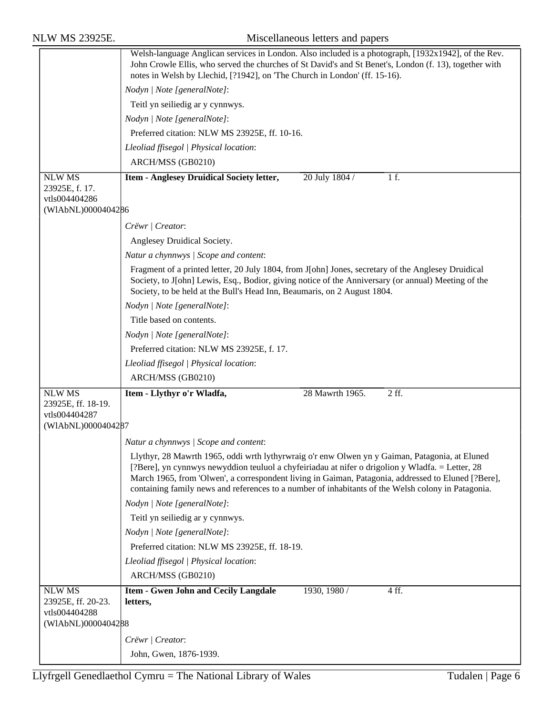|                                                  | Welsh-language Anglican services in London. Also included is a photograph, [1932x1942], of the Rev.<br>John Crowle Ellis, who served the churches of St David's and St Benet's, London (f. 13), together with<br>notes in Welsh by Llechid, [?1942], on 'The Church in London' (ff. 15-16).                   |
|--------------------------------------------------|---------------------------------------------------------------------------------------------------------------------------------------------------------------------------------------------------------------------------------------------------------------------------------------------------------------|
|                                                  | Nodyn   Note [generalNote]:                                                                                                                                                                                                                                                                                   |
|                                                  | Teitl yn seiliedig ar y cynnwys.                                                                                                                                                                                                                                                                              |
|                                                  | Nodyn   Note [generalNote]:                                                                                                                                                                                                                                                                                   |
|                                                  | Preferred citation: NLW MS 23925E, ff. 10-16.                                                                                                                                                                                                                                                                 |
|                                                  | Lleoliad ffisegol   Physical location:                                                                                                                                                                                                                                                                        |
|                                                  | ARCH/MSS (GB0210)                                                                                                                                                                                                                                                                                             |
| <b>NLW MS</b><br>23925E, f. 17.<br>vtls004404286 | 20 July 1804 /<br>1 f.<br>Item - Anglesey Druidical Society letter,                                                                                                                                                                                                                                           |
| (WIAbNL)0000404286                               |                                                                                                                                                                                                                                                                                                               |
|                                                  | Crëwr   Creator:                                                                                                                                                                                                                                                                                              |
|                                                  | Anglesey Druidical Society.                                                                                                                                                                                                                                                                                   |
|                                                  | Natur a chynnwys / Scope and content:                                                                                                                                                                                                                                                                         |
|                                                  | Fragment of a printed letter, 20 July 1804, from J[ohn] Jones, secretary of the Anglesey Druidical                                                                                                                                                                                                            |
|                                                  | Society, to J[ohn] Lewis, Esq., Bodior, giving notice of the Anniversary (or annual) Meeting of the<br>Society, to be held at the Bull's Head Inn, Beaumaris, on 2 August 1804.                                                                                                                               |
|                                                  | Nodyn   Note [generalNote]:                                                                                                                                                                                                                                                                                   |
|                                                  | Title based on contents.                                                                                                                                                                                                                                                                                      |
|                                                  | Nodyn   Note [generalNote]:                                                                                                                                                                                                                                                                                   |
|                                                  | Preferred citation: NLW MS 23925E, f. 17.                                                                                                                                                                                                                                                                     |
|                                                  | Lleoliad ffisegol   Physical location:                                                                                                                                                                                                                                                                        |
|                                                  | ARCH/MSS (GB0210)                                                                                                                                                                                                                                                                                             |
| <b>NLW MS</b>                                    | 28 Mawrth 1965.<br>2 ff.<br>Item - Llythyr o'r Wladfa,                                                                                                                                                                                                                                                        |
| 23925E, ff. 18-19.<br>vtls004404287              |                                                                                                                                                                                                                                                                                                               |
| (WIAbNL)0000404287                               |                                                                                                                                                                                                                                                                                                               |
|                                                  | Natur a chynnwys / Scope and content:                                                                                                                                                                                                                                                                         |
|                                                  | Llythyr, 28 Mawrth 1965, oddi wrth lythyrwraig o'r enw Olwen yn y Gaiman, Patagonia, at Eluned                                                                                                                                                                                                                |
|                                                  | [?Bere], yn cynnwys newyddion teuluol a chyfeiriadau at nifer o drigolion y Wladfa. = Letter, 28<br>March 1965, from 'Olwen', a correspondent living in Gaiman, Patagonia, addressed to Eluned [?Bere],<br>containing family news and references to a number of inhabitants of the Welsh colony in Patagonia. |
|                                                  | Nodyn   Note [generalNote]:                                                                                                                                                                                                                                                                                   |
|                                                  | Teitl yn seiliedig ar y cynnwys.                                                                                                                                                                                                                                                                              |
|                                                  | Nodyn   Note [generalNote]:                                                                                                                                                                                                                                                                                   |
|                                                  | Preferred citation: NLW MS 23925E, ff. 18-19.                                                                                                                                                                                                                                                                 |
|                                                  | Lleoliad ffisegol   Physical location:                                                                                                                                                                                                                                                                        |
|                                                  | ARCH/MSS (GB0210)                                                                                                                                                                                                                                                                                             |
| <b>NLW MS</b>                                    | <b>Item - Gwen John and Cecily Langdale</b><br>1930, 1980 /<br>4ff.                                                                                                                                                                                                                                           |
| 23925E, ff. 20-23.                               | letters,                                                                                                                                                                                                                                                                                                      |
| vtls004404288<br>(WIAbNL)0000404288              |                                                                                                                                                                                                                                                                                                               |
|                                                  |                                                                                                                                                                                                                                                                                                               |
|                                                  |                                                                                                                                                                                                                                                                                                               |
|                                                  | Crëwr   Creator:<br>John, Gwen, 1876-1939.                                                                                                                                                                                                                                                                    |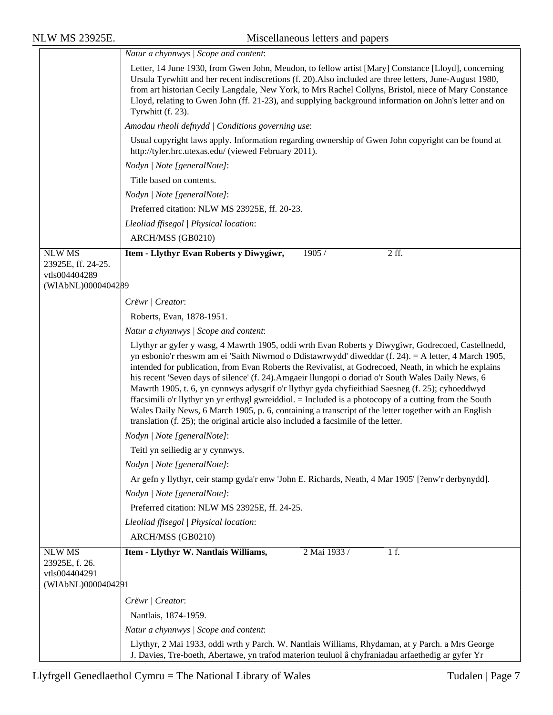$\equiv$ 

|                                                                            | Natur a chynnwys / Scope and content:                                                                                                                                                                                                                                                                                                                                                                                                                                                                                                                                                                                                                                                                                                                                                                                                  |  |  |
|----------------------------------------------------------------------------|----------------------------------------------------------------------------------------------------------------------------------------------------------------------------------------------------------------------------------------------------------------------------------------------------------------------------------------------------------------------------------------------------------------------------------------------------------------------------------------------------------------------------------------------------------------------------------------------------------------------------------------------------------------------------------------------------------------------------------------------------------------------------------------------------------------------------------------|--|--|
|                                                                            | Letter, 14 June 1930, from Gwen John, Meudon, to fellow artist [Mary] Constance [Lloyd], concerning<br>Ursula Tyrwhitt and her recent indiscretions (f. 20). Also included are three letters, June-August 1980,<br>from art historian Cecily Langdale, New York, to Mrs Rachel Collyns, Bristol, niece of Mary Constance<br>Lloyd, relating to Gwen John (ff. 21-23), and supplying background information on John's letter and on<br>Tyrwhitt (f. 23).                                                                                                                                                                                                                                                                                                                                                                                |  |  |
|                                                                            | Amodau rheoli defnydd   Conditions governing use:                                                                                                                                                                                                                                                                                                                                                                                                                                                                                                                                                                                                                                                                                                                                                                                      |  |  |
|                                                                            | Usual copyright laws apply. Information regarding ownership of Gwen John copyright can be found at<br>http://tyler.hrc.utexas.edu/ (viewed February 2011).                                                                                                                                                                                                                                                                                                                                                                                                                                                                                                                                                                                                                                                                             |  |  |
|                                                                            | Nodyn   Note [generalNote]:                                                                                                                                                                                                                                                                                                                                                                                                                                                                                                                                                                                                                                                                                                                                                                                                            |  |  |
|                                                                            | Title based on contents.                                                                                                                                                                                                                                                                                                                                                                                                                                                                                                                                                                                                                                                                                                                                                                                                               |  |  |
|                                                                            | Nodyn   Note [generalNote]:                                                                                                                                                                                                                                                                                                                                                                                                                                                                                                                                                                                                                                                                                                                                                                                                            |  |  |
|                                                                            | Preferred citation: NLW MS 23925E, ff. 20-23.                                                                                                                                                                                                                                                                                                                                                                                                                                                                                                                                                                                                                                                                                                                                                                                          |  |  |
|                                                                            | Lleoliad ffisegol   Physical location:                                                                                                                                                                                                                                                                                                                                                                                                                                                                                                                                                                                                                                                                                                                                                                                                 |  |  |
|                                                                            | ARCH/MSS (GB0210)                                                                                                                                                                                                                                                                                                                                                                                                                                                                                                                                                                                                                                                                                                                                                                                                                      |  |  |
| <b>NLW MS</b><br>23925E, ff. 24-25.<br>vtls004404289<br>(WIAbNL)0000404289 | 1905/<br>$2$ ff.<br>Item - Llythyr Evan Roberts y Diwygiwr,                                                                                                                                                                                                                                                                                                                                                                                                                                                                                                                                                                                                                                                                                                                                                                            |  |  |
|                                                                            | Crëwr   Creator:                                                                                                                                                                                                                                                                                                                                                                                                                                                                                                                                                                                                                                                                                                                                                                                                                       |  |  |
|                                                                            | Roberts, Evan, 1878-1951.                                                                                                                                                                                                                                                                                                                                                                                                                                                                                                                                                                                                                                                                                                                                                                                                              |  |  |
|                                                                            | Natur a chynnwys / Scope and content:                                                                                                                                                                                                                                                                                                                                                                                                                                                                                                                                                                                                                                                                                                                                                                                                  |  |  |
|                                                                            | Llythyr ar gyfer y wasg, 4 Mawrth 1905, oddi wrth Evan Roberts y Diwygiwr, Godrecoed, Castellnedd,<br>yn esbonio'r rheswm am ei 'Saith Niwrnod o Ddistawrwydd' diweddar (f. 24). = A letter, 4 March 1905,<br>intended for publication, from Evan Roberts the Revivalist, at Godrecoed, Neath, in which he explains<br>his recent 'Seven days of silence' (f. 24). Amgaeir llungopi o doriad o'r South Wales Daily News, 6<br>Mawrth 1905, t. 6, yn cynnwys adysgrif o'r llythyr gyda chyfieithiad Saesneg (f. 25); cyhoeddwyd<br>ffacsimili o'r llythyr yn yr erthygl gwreiddiol. = Included is a photocopy of a cutting from the South<br>Wales Daily News, 6 March 1905, p. 6, containing a transcript of the letter together with an English<br>translation (f. 25); the original article also included a facsimile of the letter. |  |  |
|                                                                            | Nodyn   Note [generalNote]:                                                                                                                                                                                                                                                                                                                                                                                                                                                                                                                                                                                                                                                                                                                                                                                                            |  |  |
|                                                                            | Teitl yn seiliedig ar y cynnwys.                                                                                                                                                                                                                                                                                                                                                                                                                                                                                                                                                                                                                                                                                                                                                                                                       |  |  |
|                                                                            | Nodyn   Note [generalNote]:                                                                                                                                                                                                                                                                                                                                                                                                                                                                                                                                                                                                                                                                                                                                                                                                            |  |  |
|                                                                            | Ar gefn y llythyr, ceir stamp gyda'r enw 'John E. Richards, Neath, 4 Mar 1905' [?enw'r derbynydd].                                                                                                                                                                                                                                                                                                                                                                                                                                                                                                                                                                                                                                                                                                                                     |  |  |
|                                                                            | Nodyn   Note [generalNote]:                                                                                                                                                                                                                                                                                                                                                                                                                                                                                                                                                                                                                                                                                                                                                                                                            |  |  |
|                                                                            | Preferred citation: NLW MS 23925E, ff. 24-25.                                                                                                                                                                                                                                                                                                                                                                                                                                                                                                                                                                                                                                                                                                                                                                                          |  |  |
|                                                                            | Lleoliad ffisegol   Physical location:                                                                                                                                                                                                                                                                                                                                                                                                                                                                                                                                                                                                                                                                                                                                                                                                 |  |  |
|                                                                            | ARCH/MSS (GB0210)                                                                                                                                                                                                                                                                                                                                                                                                                                                                                                                                                                                                                                                                                                                                                                                                                      |  |  |
| <b>NLW MS</b><br>23925E, f. 26.<br>vtls004404291                           | 1 f.<br>Item - Llythyr W. Nantlais Williams,<br>2 Mai 1933 /                                                                                                                                                                                                                                                                                                                                                                                                                                                                                                                                                                                                                                                                                                                                                                           |  |  |
| (WIAbNL)0000404291                                                         |                                                                                                                                                                                                                                                                                                                                                                                                                                                                                                                                                                                                                                                                                                                                                                                                                                        |  |  |
|                                                                            | Crëwr   Creator:                                                                                                                                                                                                                                                                                                                                                                                                                                                                                                                                                                                                                                                                                                                                                                                                                       |  |  |
|                                                                            | Nantlais, 1874-1959.                                                                                                                                                                                                                                                                                                                                                                                                                                                                                                                                                                                                                                                                                                                                                                                                                   |  |  |
|                                                                            | Natur a chynnwys / Scope and content:                                                                                                                                                                                                                                                                                                                                                                                                                                                                                                                                                                                                                                                                                                                                                                                                  |  |  |
|                                                                            | Llythyr, 2 Mai 1933, oddi wrth y Parch. W. Nantlais Williams, Rhydaman, at y Parch. a Mrs George<br>J. Davies, Tre-boeth, Abertawe, yn trafod materion teuluol â chyfraniadau arfaethedig ar gyfer Yr                                                                                                                                                                                                                                                                                                                                                                                                                                                                                                                                                                                                                                  |  |  |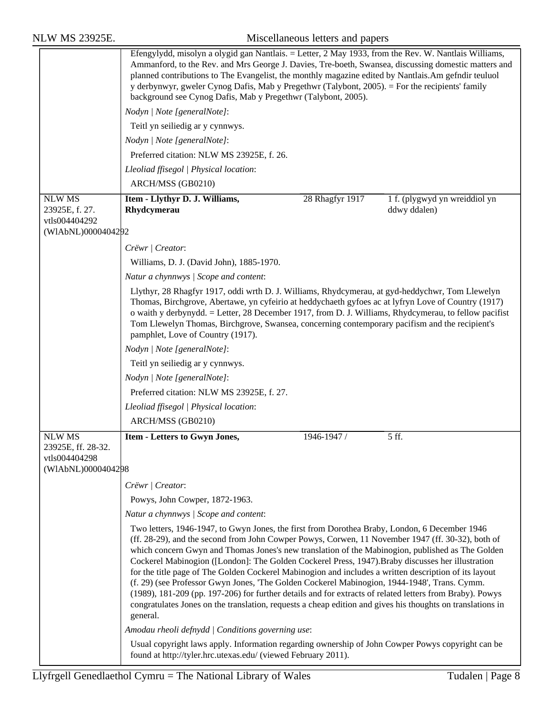| <b>NLW MS 23925E.</b>                                                      | Miscellaneous letters and papers                                                                                                                                                                                                                                                                                                                                                                                                                                                                                                                                                                                                                                                                                                                                                                                                                           |
|----------------------------------------------------------------------------|------------------------------------------------------------------------------------------------------------------------------------------------------------------------------------------------------------------------------------------------------------------------------------------------------------------------------------------------------------------------------------------------------------------------------------------------------------------------------------------------------------------------------------------------------------------------------------------------------------------------------------------------------------------------------------------------------------------------------------------------------------------------------------------------------------------------------------------------------------|
|                                                                            | Efengylydd, misolyn a olygid gan Nantlais. = Letter, 2 May 1933, from the Rev. W. Nantlais Williams,<br>Ammanford, to the Rev. and Mrs George J. Davies, Tre-boeth, Swansea, discussing domestic matters and<br>planned contributions to The Evangelist, the monthly magazine edited by Nantlais. Am gefndir teuluol<br>y derbynwyr, gweler Cynog Dafis, Mab y Pregethwr (Talybont, 2005). = For the recipients' family<br>background see Cynog Dafis, Mab y Pregethwr (Talybont, 2005).                                                                                                                                                                                                                                                                                                                                                                   |
|                                                                            | Nodyn   Note [generalNote]:                                                                                                                                                                                                                                                                                                                                                                                                                                                                                                                                                                                                                                                                                                                                                                                                                                |
|                                                                            | Teitl yn seiliedig ar y cynnwys.                                                                                                                                                                                                                                                                                                                                                                                                                                                                                                                                                                                                                                                                                                                                                                                                                           |
|                                                                            | Nodyn   Note [generalNote]:                                                                                                                                                                                                                                                                                                                                                                                                                                                                                                                                                                                                                                                                                                                                                                                                                                |
|                                                                            | Preferred citation: NLW MS 23925E, f. 26.                                                                                                                                                                                                                                                                                                                                                                                                                                                                                                                                                                                                                                                                                                                                                                                                                  |
|                                                                            | Lleoliad ffisegol   Physical location:                                                                                                                                                                                                                                                                                                                                                                                                                                                                                                                                                                                                                                                                                                                                                                                                                     |
|                                                                            | ARCH/MSS (GB0210)                                                                                                                                                                                                                                                                                                                                                                                                                                                                                                                                                                                                                                                                                                                                                                                                                                          |
| <b>NLW MS</b><br>23925E, f. 27.<br>vtls004404292                           | Item - Llythyr D. J. Williams,<br>28 Rhagfyr 1917<br>1 f. (plygwyd yn wreiddiol yn<br>Rhydcymerau<br>ddwy ddalen)                                                                                                                                                                                                                                                                                                                                                                                                                                                                                                                                                                                                                                                                                                                                          |
| (WIAbNL)0000404292                                                         |                                                                                                                                                                                                                                                                                                                                                                                                                                                                                                                                                                                                                                                                                                                                                                                                                                                            |
|                                                                            | Crëwr   Creator:                                                                                                                                                                                                                                                                                                                                                                                                                                                                                                                                                                                                                                                                                                                                                                                                                                           |
|                                                                            | Williams, D. J. (David John), 1885-1970.                                                                                                                                                                                                                                                                                                                                                                                                                                                                                                                                                                                                                                                                                                                                                                                                                   |
|                                                                            | Natur a chynnwys / Scope and content:                                                                                                                                                                                                                                                                                                                                                                                                                                                                                                                                                                                                                                                                                                                                                                                                                      |
|                                                                            | Llythyr, 28 Rhagfyr 1917, oddi wrth D. J. Williams, Rhydcymerau, at gyd-heddychwr, Tom Llewelyn<br>Thomas, Birchgrove, Abertawe, yn cyfeirio at heddychaeth gyfoes ac at lyfryn Love of Country (1917)<br>o waith y derbynydd. = Letter, 28 December 1917, from D. J. Williams, Rhydcymerau, to fellow pacifist<br>Tom Llewelyn Thomas, Birchgrove, Swansea, concerning contemporary pacifism and the recipient's<br>pamphlet, Love of Country (1917).                                                                                                                                                                                                                                                                                                                                                                                                     |
|                                                                            | Nodyn   Note [generalNote]:                                                                                                                                                                                                                                                                                                                                                                                                                                                                                                                                                                                                                                                                                                                                                                                                                                |
|                                                                            | Teitl yn seiliedig ar y cynnwys.                                                                                                                                                                                                                                                                                                                                                                                                                                                                                                                                                                                                                                                                                                                                                                                                                           |
|                                                                            | Nodyn   Note [generalNote]:                                                                                                                                                                                                                                                                                                                                                                                                                                                                                                                                                                                                                                                                                                                                                                                                                                |
|                                                                            | Preferred citation: NLW MS 23925E, f. 27.                                                                                                                                                                                                                                                                                                                                                                                                                                                                                                                                                                                                                                                                                                                                                                                                                  |
|                                                                            | Lleoliad ffisegol   Physical location:                                                                                                                                                                                                                                                                                                                                                                                                                                                                                                                                                                                                                                                                                                                                                                                                                     |
|                                                                            | ARCH/MSS (GB0210)                                                                                                                                                                                                                                                                                                                                                                                                                                                                                                                                                                                                                                                                                                                                                                                                                                          |
| <b>NLW MS</b><br>23925E, ff. 28-32.<br>vtls004404298<br>(WIAbNL)0000404298 | <b>Item - Letters to Gwyn Jones,</b><br>1946-1947 /<br>5 ff.                                                                                                                                                                                                                                                                                                                                                                                                                                                                                                                                                                                                                                                                                                                                                                                               |
|                                                                            | Crëwr   Creator:                                                                                                                                                                                                                                                                                                                                                                                                                                                                                                                                                                                                                                                                                                                                                                                                                                           |
|                                                                            | Powys, John Cowper, 1872-1963.                                                                                                                                                                                                                                                                                                                                                                                                                                                                                                                                                                                                                                                                                                                                                                                                                             |
|                                                                            | Natur a chynnwys / Scope and content:                                                                                                                                                                                                                                                                                                                                                                                                                                                                                                                                                                                                                                                                                                                                                                                                                      |
|                                                                            | Two letters, 1946-1947, to Gwyn Jones, the first from Dorothea Braby, London, 6 December 1946<br>(ff. 28-29), and the second from John Cowper Powys, Corwen, 11 November 1947 (ff. 30-32), both of<br>which concern Gwyn and Thomas Jones's new translation of the Mabinogion, published as The Golden<br>Cockerel Mabinogion ([London]: The Golden Cockerel Press, 1947). Braby discusses her illustration<br>for the title page of The Golden Cockerel Mabinogion and includes a written description of its layout<br>(f. 29) (see Professor Gwyn Jones, 'The Golden Cockerel Mabinogion, 1944-1948', Trans. Cymm.<br>(1989), 181-209 (pp. 197-206) for further details and for extracts of related letters from Braby). Powys<br>congratulates Jones on the translation, requests a cheap edition and gives his thoughts on translations in<br>general. |
|                                                                            | Amodau rheoli defnydd   Conditions governing use:                                                                                                                                                                                                                                                                                                                                                                                                                                                                                                                                                                                                                                                                                                                                                                                                          |
|                                                                            | Usual copyright laws apply. Information regarding ownership of John Cowper Powys copyright can be<br>found at http://tyler.hrc.utexas.edu/ (viewed February 2011).                                                                                                                                                                                                                                                                                                                                                                                                                                                                                                                                                                                                                                                                                         |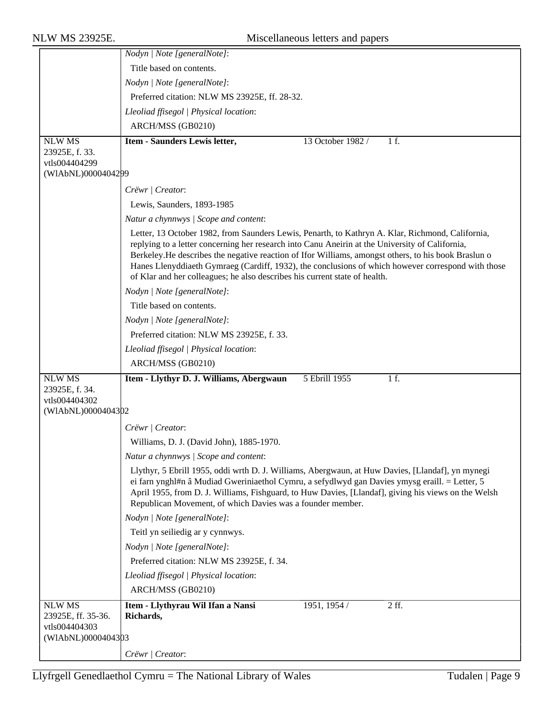|                                     | Nodyn   Note [generalNote]:                                                                                                                                                                                                                                                                                                                                                                                                                                                                     |
|-------------------------------------|-------------------------------------------------------------------------------------------------------------------------------------------------------------------------------------------------------------------------------------------------------------------------------------------------------------------------------------------------------------------------------------------------------------------------------------------------------------------------------------------------|
|                                     | Title based on contents.                                                                                                                                                                                                                                                                                                                                                                                                                                                                        |
|                                     | Nodyn   Note [generalNote]:                                                                                                                                                                                                                                                                                                                                                                                                                                                                     |
|                                     | Preferred citation: NLW MS 23925E, ff. 28-32.                                                                                                                                                                                                                                                                                                                                                                                                                                                   |
|                                     | Lleoliad ffisegol   Physical location:                                                                                                                                                                                                                                                                                                                                                                                                                                                          |
|                                     | ARCH/MSS (GB0210)                                                                                                                                                                                                                                                                                                                                                                                                                                                                               |
| <b>NLW MS</b>                       | Item - Saunders Lewis letter,<br>13 October 1982 /<br>1 f.                                                                                                                                                                                                                                                                                                                                                                                                                                      |
| 23925E, f. 33.                      |                                                                                                                                                                                                                                                                                                                                                                                                                                                                                                 |
| vtls004404299<br>(WIAbNL)0000404299 |                                                                                                                                                                                                                                                                                                                                                                                                                                                                                                 |
|                                     | Crëwr   Creator:                                                                                                                                                                                                                                                                                                                                                                                                                                                                                |
|                                     | Lewis, Saunders, 1893-1985                                                                                                                                                                                                                                                                                                                                                                                                                                                                      |
|                                     | Natur a chynnwys / Scope and content:                                                                                                                                                                                                                                                                                                                                                                                                                                                           |
|                                     | Letter, 13 October 1982, from Saunders Lewis, Penarth, to Kathryn A. Klar, Richmond, California,<br>replying to a letter concerning her research into Canu Aneirin at the University of California,<br>Berkeley. He describes the negative reaction of Ifor Williams, amongst others, to his book Braslun o<br>Hanes Llenyddiaeth Gymraeg (Cardiff, 1932), the conclusions of which however correspond with those<br>of Klar and her colleagues; he also describes his current state of health. |
|                                     | Nodyn   Note [generalNote]:                                                                                                                                                                                                                                                                                                                                                                                                                                                                     |
|                                     | Title based on contents.                                                                                                                                                                                                                                                                                                                                                                                                                                                                        |
|                                     | Nodyn   Note [generalNote]:                                                                                                                                                                                                                                                                                                                                                                                                                                                                     |
|                                     | Preferred citation: NLW MS 23925E, f. 33.                                                                                                                                                                                                                                                                                                                                                                                                                                                       |
|                                     | Lleoliad ffisegol   Physical location:                                                                                                                                                                                                                                                                                                                                                                                                                                                          |
|                                     | ARCH/MSS (GB0210)                                                                                                                                                                                                                                                                                                                                                                                                                                                                               |
| <b>NLW MS</b>                       | Item - Llythyr D. J. Williams, Abergwaun<br>5 Ebrill 1955<br>1 f.                                                                                                                                                                                                                                                                                                                                                                                                                               |
| 23925E, f. 34.<br>vtls004404302     |                                                                                                                                                                                                                                                                                                                                                                                                                                                                                                 |
| (WIAbNL)0000404302                  |                                                                                                                                                                                                                                                                                                                                                                                                                                                                                                 |
|                                     | Crëwr   Creator:                                                                                                                                                                                                                                                                                                                                                                                                                                                                                |
|                                     | Williams, D. J. (David John), 1885-1970.                                                                                                                                                                                                                                                                                                                                                                                                                                                        |
|                                     | Natur a chynnwys / Scope and content:                                                                                                                                                                                                                                                                                                                                                                                                                                                           |
|                                     | Llythyr, 5 Ebrill 1955, oddi wrth D. J. Williams, Abergwaun, at Huw Davies, [Llandaf], yn mynegi<br>ei farn ynghl#n â Mudiad Gweriniaethol Cymru, a sefydlwyd gan Davies ymysg eraill. = Letter, 5<br>April 1955, from D. J. Williams, Fishguard, to Huw Davies, [Llandaf], giving his views on the Welsh<br>Republican Movement, of which Davies was a founder member.                                                                                                                         |
|                                     | Nodyn   Note [generalNote]:                                                                                                                                                                                                                                                                                                                                                                                                                                                                     |
|                                     | Teitl yn seiliedig ar y cynnwys.                                                                                                                                                                                                                                                                                                                                                                                                                                                                |
|                                     | Nodyn   Note [generalNote]:                                                                                                                                                                                                                                                                                                                                                                                                                                                                     |
|                                     | Preferred citation: NLW MS 23925E, f. 34.                                                                                                                                                                                                                                                                                                                                                                                                                                                       |
|                                     | Lleoliad ffisegol   Physical location:                                                                                                                                                                                                                                                                                                                                                                                                                                                          |
|                                     | ARCH/MSS (GB0210)                                                                                                                                                                                                                                                                                                                                                                                                                                                                               |
| <b>NLW MS</b>                       | Item - Llythyrau Wil Ifan a Nansi<br>1951, 1954 /<br>2 ff.                                                                                                                                                                                                                                                                                                                                                                                                                                      |
| 23925E, ff. 35-36.                  | Richards,                                                                                                                                                                                                                                                                                                                                                                                                                                                                                       |
| vtls004404303<br>(WIAbNL)0000404303 |                                                                                                                                                                                                                                                                                                                                                                                                                                                                                                 |
|                                     |                                                                                                                                                                                                                                                                                                                                                                                                                                                                                                 |
|                                     | Crëwr / Creator:                                                                                                                                                                                                                                                                                                                                                                                                                                                                                |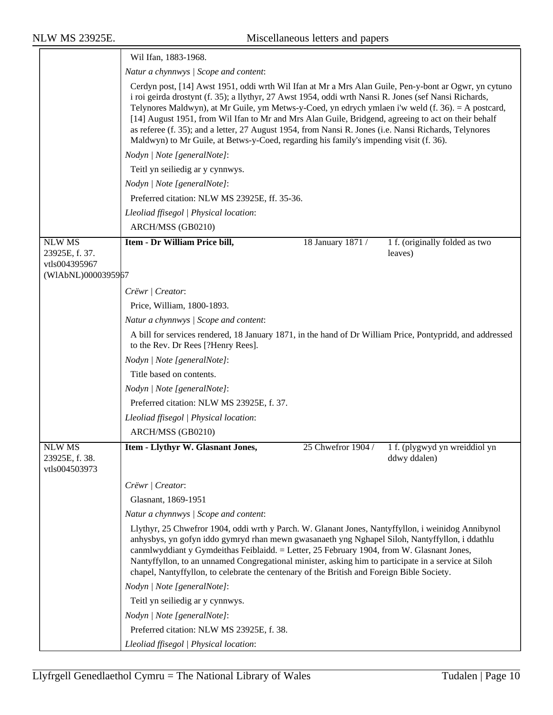|                                                  | Wil Ifan, 1883-1968.                                                                                                                                                                                                                                                                                                                                                                                                                                                                                                                                                                                                           |                    |                                               |
|--------------------------------------------------|--------------------------------------------------------------------------------------------------------------------------------------------------------------------------------------------------------------------------------------------------------------------------------------------------------------------------------------------------------------------------------------------------------------------------------------------------------------------------------------------------------------------------------------------------------------------------------------------------------------------------------|--------------------|-----------------------------------------------|
|                                                  | Natur a chynnwys / Scope and content:                                                                                                                                                                                                                                                                                                                                                                                                                                                                                                                                                                                          |                    |                                               |
|                                                  | Cerdyn post, [14] Awst 1951, oddi wrth Wil Ifan at Mr a Mrs Alan Guile, Pen-y-bont ar Ogwr, yn cytuno<br>i roi geirda drostynt (f. 35); a llythyr, 27 Awst 1954, oddi wrth Nansi R. Jones (sef Nansi Richards,<br>Telynores Maldwyn), at Mr Guile, ym Metws-y-Coed, yn edrych ymlaen i'w weld (f. 36). = A postcard,<br>[14] August 1951, from Wil Ifan to Mr and Mrs Alan Guile, Bridgend, agreeing to act on their behalf<br>as referee (f. 35); and a letter, 27 August 1954, from Nansi R. Jones (i.e. Nansi Richards, Telynores<br>Maldwyn) to Mr Guile, at Betws-y-Coed, regarding his family's impending visit (f. 36). |                    |                                               |
|                                                  | Nodyn   Note [generalNote]:                                                                                                                                                                                                                                                                                                                                                                                                                                                                                                                                                                                                    |                    |                                               |
|                                                  | Teitl yn seiliedig ar y cynnwys.                                                                                                                                                                                                                                                                                                                                                                                                                                                                                                                                                                                               |                    |                                               |
|                                                  | Nodyn   Note [generalNote]:                                                                                                                                                                                                                                                                                                                                                                                                                                                                                                                                                                                                    |                    |                                               |
|                                                  | Preferred citation: NLW MS 23925E, ff. 35-36.                                                                                                                                                                                                                                                                                                                                                                                                                                                                                                                                                                                  |                    |                                               |
|                                                  | Lleoliad ffisegol   Physical location:                                                                                                                                                                                                                                                                                                                                                                                                                                                                                                                                                                                         |                    |                                               |
|                                                  | ARCH/MSS (GB0210)                                                                                                                                                                                                                                                                                                                                                                                                                                                                                                                                                                                                              |                    |                                               |
| <b>NLW MS</b><br>23925E, f. 37.<br>vtls004395967 | Item - Dr William Price bill,                                                                                                                                                                                                                                                                                                                                                                                                                                                                                                                                                                                                  | 18 January 1871 /  | 1 f. (originally folded as two<br>leaves)     |
| (WIAbNL)0000395967                               |                                                                                                                                                                                                                                                                                                                                                                                                                                                                                                                                                                                                                                |                    |                                               |
|                                                  | Crëwr   Creator:                                                                                                                                                                                                                                                                                                                                                                                                                                                                                                                                                                                                               |                    |                                               |
|                                                  | Price, William, 1800-1893.                                                                                                                                                                                                                                                                                                                                                                                                                                                                                                                                                                                                     |                    |                                               |
|                                                  | Natur a chynnwys / Scope and content:                                                                                                                                                                                                                                                                                                                                                                                                                                                                                                                                                                                          |                    |                                               |
|                                                  | A bill for services rendered, 18 January 1871, in the hand of Dr William Price, Pontypridd, and addressed<br>to the Rev. Dr Rees [?Henry Rees].                                                                                                                                                                                                                                                                                                                                                                                                                                                                                |                    |                                               |
|                                                  | Nodyn   Note [generalNote]:                                                                                                                                                                                                                                                                                                                                                                                                                                                                                                                                                                                                    |                    |                                               |
|                                                  | Title based on contents.                                                                                                                                                                                                                                                                                                                                                                                                                                                                                                                                                                                                       |                    |                                               |
|                                                  | Nodyn   Note [generalNote]:                                                                                                                                                                                                                                                                                                                                                                                                                                                                                                                                                                                                    |                    |                                               |
|                                                  | Preferred citation: NLW MS 23925E, f. 37.                                                                                                                                                                                                                                                                                                                                                                                                                                                                                                                                                                                      |                    |                                               |
|                                                  | Lleoliad ffisegol   Physical location:                                                                                                                                                                                                                                                                                                                                                                                                                                                                                                                                                                                         |                    |                                               |
|                                                  | ARCH/MSS (GB0210)                                                                                                                                                                                                                                                                                                                                                                                                                                                                                                                                                                                                              |                    |                                               |
| <b>NLW MS</b><br>23925E, f. 38.<br>vtls004503973 | Item - Llythyr W. Glasnant Jones,                                                                                                                                                                                                                                                                                                                                                                                                                                                                                                                                                                                              | 25 Chwefror 1904 / | 1 f. (plygwyd yn wreiddiol yn<br>ddwy ddalen) |
|                                                  | Crëwr   Creator:                                                                                                                                                                                                                                                                                                                                                                                                                                                                                                                                                                                                               |                    |                                               |
|                                                  | Glasnant, 1869-1951                                                                                                                                                                                                                                                                                                                                                                                                                                                                                                                                                                                                            |                    |                                               |
|                                                  | Natur a chynnwys / Scope and content:                                                                                                                                                                                                                                                                                                                                                                                                                                                                                                                                                                                          |                    |                                               |
|                                                  | Llythyr, 25 Chwefror 1904, oddi wrth y Parch. W. Glanant Jones, Nantyffyllon, i weinidog Annibynol<br>anhysbys, yn gofyn iddo gymryd rhan mewn gwasanaeth yng Nghapel Siloh, Nantyffyllon, i ddathlu<br>canmlwyddiant y Gymdeithas Feiblaidd. = Letter, 25 February 1904, from W. Glasnant Jones,<br>Nantyffyllon, to an unnamed Congregational minister, asking him to participate in a service at Siloh<br>chapel, Nantyffyllon, to celebrate the centenary of the British and Foreign Bible Society.                                                                                                                        |                    |                                               |
|                                                  | Nodyn   Note [generalNote]:                                                                                                                                                                                                                                                                                                                                                                                                                                                                                                                                                                                                    |                    |                                               |
|                                                  | Teitl yn seiliedig ar y cynnwys.                                                                                                                                                                                                                                                                                                                                                                                                                                                                                                                                                                                               |                    |                                               |
|                                                  | Nodyn   Note [generalNote]:                                                                                                                                                                                                                                                                                                                                                                                                                                                                                                                                                                                                    |                    |                                               |
|                                                  | Preferred citation: NLW MS 23925E, f. 38.                                                                                                                                                                                                                                                                                                                                                                                                                                                                                                                                                                                      |                    |                                               |
|                                                  | Lleoliad ffisegol   Physical location:                                                                                                                                                                                                                                                                                                                                                                                                                                                                                                                                                                                         |                    |                                               |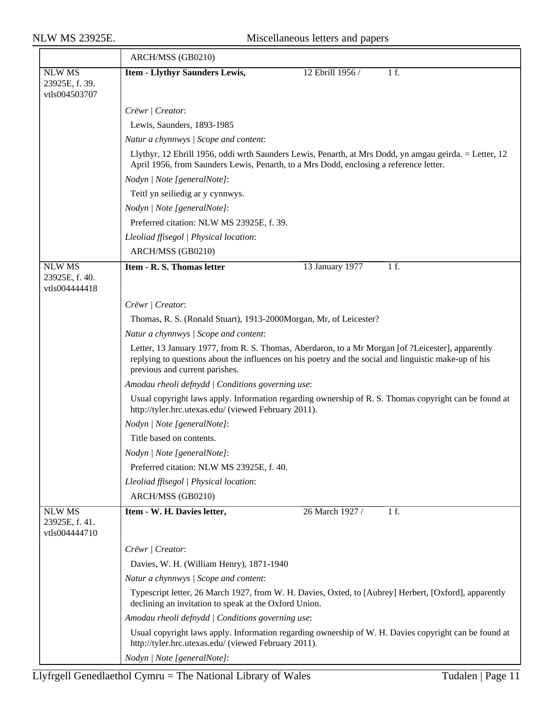|                                 | ARCH/MSS (GB0210)                                                                                                                                                                                                                            |  |  |
|---------------------------------|----------------------------------------------------------------------------------------------------------------------------------------------------------------------------------------------------------------------------------------------|--|--|
| <b>NLW MS</b>                   | 12 Ebrill 1956 /<br><b>Item - Llythyr Saunders Lewis,</b><br>1 f.                                                                                                                                                                            |  |  |
| 23925E, f. 39.<br>vtls004503707 |                                                                                                                                                                                                                                              |  |  |
|                                 | Crëwr / Creator:                                                                                                                                                                                                                             |  |  |
|                                 | Lewis, Saunders, 1893-1985                                                                                                                                                                                                                   |  |  |
|                                 | Natur a chynnwys / Scope and content:                                                                                                                                                                                                        |  |  |
|                                 | Llythyr, 12 Ebrill 1956, oddi wrth Saunders Lewis, Penarth, at Mrs Dodd, yn amgau geirda. = Letter, 12<br>April 1956, from Saunders Lewis, Penarth, to a Mrs Dodd, enclosing a reference letter.                                             |  |  |
|                                 | Nodyn   Note [generalNote]:                                                                                                                                                                                                                  |  |  |
|                                 | Teitl yn seiliedig ar y cynnwys.                                                                                                                                                                                                             |  |  |
|                                 | Nodyn   Note [generalNote]:                                                                                                                                                                                                                  |  |  |
|                                 | Preferred citation: NLW MS 23925E, f. 39.                                                                                                                                                                                                    |  |  |
|                                 | Lleoliad ffisegol   Physical location:                                                                                                                                                                                                       |  |  |
|                                 | ARCH/MSS (GB0210)                                                                                                                                                                                                                            |  |  |
| <b>NLW MS</b>                   | <b>Item - R. S. Thomas letter</b><br>13 January 1977<br>1 f.                                                                                                                                                                                 |  |  |
| 23925E, f. 40.<br>vtls004444418 |                                                                                                                                                                                                                                              |  |  |
|                                 | Crëwr   Creator:                                                                                                                                                                                                                             |  |  |
|                                 | Thomas, R. S. (Ronald Stuart), 1913-2000Morgan, Mr, of Leicester?                                                                                                                                                                            |  |  |
|                                 | Natur a chynnwys / Scope and content:                                                                                                                                                                                                        |  |  |
|                                 | Letter, 13 January 1977, from R. S. Thomas, Aberdaron, to a Mr Morgan [of ?Leicester], apparently<br>replying to questions about the influences on his poetry and the social and linguistic make-up of his<br>previous and current parishes. |  |  |
|                                 | Amodau rheoli defnydd   Conditions governing use:                                                                                                                                                                                            |  |  |
|                                 | Usual copyright laws apply. Information regarding ownership of R. S. Thomas copyright can be found at<br>http://tyler.hrc.utexas.edu/ (viewed February 2011).                                                                                |  |  |
|                                 | Nodyn   Note [generalNote]:                                                                                                                                                                                                                  |  |  |
|                                 | Title based on contents.                                                                                                                                                                                                                     |  |  |
|                                 | Nodyn   Note [generalNote]:                                                                                                                                                                                                                  |  |  |
|                                 | Preferred citation: NLW MS 23925E, f. 40.                                                                                                                                                                                                    |  |  |
|                                 | Lleoliad ffisegol   Physical location:                                                                                                                                                                                                       |  |  |
|                                 | ARCH/MSS (GB0210)                                                                                                                                                                                                                            |  |  |
| <b>NLW MS</b><br>23925E, f. 41. | 26 March 1927 /<br>Item - W. H. Davies letter,<br>1 f.                                                                                                                                                                                       |  |  |
| vtls004444710                   |                                                                                                                                                                                                                                              |  |  |
|                                 | Crëwr   Creator:                                                                                                                                                                                                                             |  |  |
|                                 | Davies, W. H. (William Henry), 1871-1940                                                                                                                                                                                                     |  |  |
|                                 | Natur a chynnwys / Scope and content:                                                                                                                                                                                                        |  |  |
|                                 | Typescript letter, 26 March 1927, from W. H. Davies, Oxted, to [Aubrey] Herbert, [Oxford], apparently<br>declining an invitation to speak at the Oxford Union.                                                                               |  |  |
|                                 | Amodau rheoli defnydd   Conditions governing use:                                                                                                                                                                                            |  |  |
|                                 | Usual copyright laws apply. Information regarding ownership of W. H. Davies copyright can be found at<br>http://tyler.hrc.utexas.edu/ (viewed February 2011).                                                                                |  |  |
|                                 | Nodyn   Note [generalNote]:                                                                                                                                                                                                                  |  |  |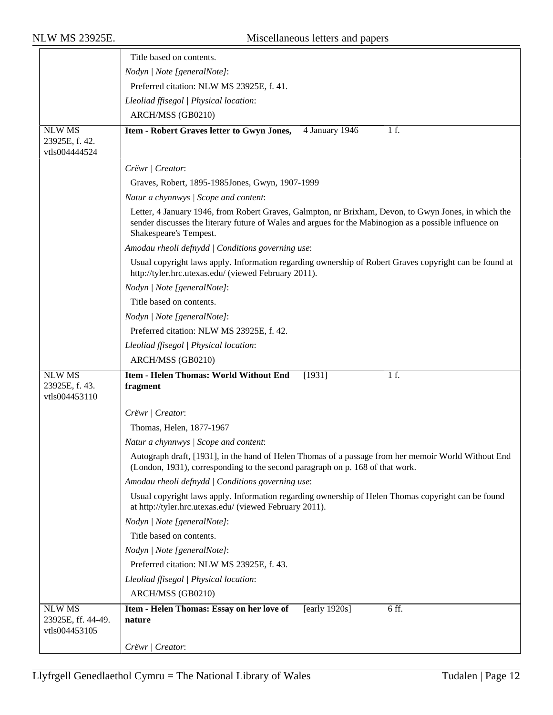|                                                      | Title based on contents.                                                                                                                                                                                                                 |
|------------------------------------------------------|------------------------------------------------------------------------------------------------------------------------------------------------------------------------------------------------------------------------------------------|
|                                                      | Nodyn   Note [generalNote]:                                                                                                                                                                                                              |
|                                                      | Preferred citation: NLW MS 23925E, f. 41.                                                                                                                                                                                                |
|                                                      | Lleoliad ffisegol   Physical location:                                                                                                                                                                                                   |
|                                                      | ARCH/MSS (GB0210)                                                                                                                                                                                                                        |
| <b>NLW MS</b><br>23925E, f. 42.<br>vtls004444524     | Item - Robert Graves letter to Gwyn Jones,<br>1 f.<br>4 January 1946                                                                                                                                                                     |
|                                                      | Crëwr   Creator:                                                                                                                                                                                                                         |
|                                                      | Graves, Robert, 1895-1985Jones, Gwyn, 1907-1999                                                                                                                                                                                          |
|                                                      | Natur a chynnwys / Scope and content:                                                                                                                                                                                                    |
|                                                      | Letter, 4 January 1946, from Robert Graves, Galmpton, nr Brixham, Devon, to Gwyn Jones, in which the<br>sender discusses the literary future of Wales and argues for the Mabinogion as a possible influence on<br>Shakespeare's Tempest. |
|                                                      | Amodau rheoli defnydd   Conditions governing use:                                                                                                                                                                                        |
|                                                      | Usual copyright laws apply. Information regarding ownership of Robert Graves copyright can be found at<br>http://tyler.hrc.utexas.edu/ (viewed February 2011).                                                                           |
|                                                      | Nodyn   Note [generalNote]:                                                                                                                                                                                                              |
|                                                      | Title based on contents.                                                                                                                                                                                                                 |
|                                                      | Nodyn   Note [generalNote]:                                                                                                                                                                                                              |
|                                                      | Preferred citation: NLW MS 23925E, f. 42.                                                                                                                                                                                                |
|                                                      | Lleoliad ffisegol   Physical location:                                                                                                                                                                                                   |
|                                                      | ARCH/MSS (GB0210)                                                                                                                                                                                                                        |
| <b>NLW MS</b><br>23925E, f. 43.<br>vtls004453110     | <b>Item - Helen Thomas: World Without End</b><br>1 f.<br>[1931]<br>fragment                                                                                                                                                              |
|                                                      | Crëwr   Creator:                                                                                                                                                                                                                         |
|                                                      | Thomas, Helen, 1877-1967                                                                                                                                                                                                                 |
|                                                      | Natur a chynnwys / Scope and content:                                                                                                                                                                                                    |
|                                                      | Autograph draft, [1931], in the hand of Helen Thomas of a passage from her memoir World Without End<br>(London, 1931), corresponding to the second paragraph on p. 168 of that work.                                                     |
|                                                      | Amodau rheoli defnydd   Conditions governing use:                                                                                                                                                                                        |
|                                                      | Usual copyright laws apply. Information regarding ownership of Helen Thomas copyright can be found<br>at http://tyler.hrc.utexas.edu/ (viewed February 2011).                                                                            |
|                                                      | Nodyn   Note [generalNote]:                                                                                                                                                                                                              |
|                                                      | Title based on contents.                                                                                                                                                                                                                 |
|                                                      | Nodyn   Note [generalNote]:                                                                                                                                                                                                              |
|                                                      | Preferred citation: NLW MS 23925E, f. 43.                                                                                                                                                                                                |
|                                                      | Lleoliad ffisegol   Physical location:                                                                                                                                                                                                   |
|                                                      | ARCH/MSS (GB0210)                                                                                                                                                                                                                        |
| <b>NLW MS</b><br>23925E, ff. 44-49.<br>vtls004453105 | Item - Helen Thomas: Essay on her love of<br>6 ff.<br>[early $1920s$ ]<br>nature                                                                                                                                                         |
|                                                      | Crëwr   Creator:                                                                                                                                                                                                                         |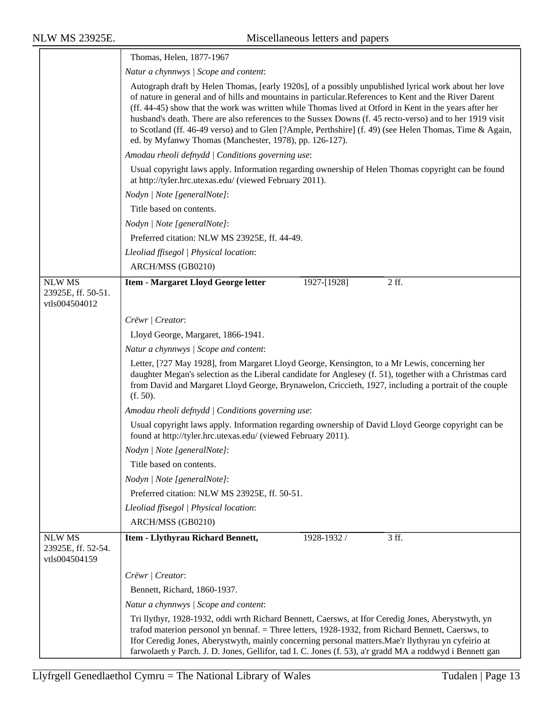|                                                      | Thomas, Helen, 1877-1967                                                                                                                                                                                                                                                                                                                                                                                                                                                                                                                                                                                    |  |  |
|------------------------------------------------------|-------------------------------------------------------------------------------------------------------------------------------------------------------------------------------------------------------------------------------------------------------------------------------------------------------------------------------------------------------------------------------------------------------------------------------------------------------------------------------------------------------------------------------------------------------------------------------------------------------------|--|--|
|                                                      | Natur a chynnwys / Scope and content:                                                                                                                                                                                                                                                                                                                                                                                                                                                                                                                                                                       |  |  |
|                                                      | Autograph draft by Helen Thomas, [early 1920s], of a possibly unpublished lyrical work about her love<br>of nature in general and of hills and mountains in particular. References to Kent and the River Darent<br>(ff. 44-45) show that the work was written while Thomas lived at Otford in Kent in the years after her<br>husband's death. There are also references to the Sussex Downs (f. 45 recto-verso) and to her 1919 visit<br>to Scotland (ff. 46-49 verso) and to Glen [?Ample, Perthshire] (f. 49) (see Helen Thomas, Time & Again,<br>ed. by Myfanwy Thomas (Manchester, 1978), pp. 126-127). |  |  |
|                                                      | Amodau rheoli defnydd   Conditions governing use:                                                                                                                                                                                                                                                                                                                                                                                                                                                                                                                                                           |  |  |
|                                                      | Usual copyright laws apply. Information regarding ownership of Helen Thomas copyright can be found<br>at http://tyler.hrc.utexas.edu/ (viewed February 2011).                                                                                                                                                                                                                                                                                                                                                                                                                                               |  |  |
|                                                      | Nodyn   Note [generalNote]:                                                                                                                                                                                                                                                                                                                                                                                                                                                                                                                                                                                 |  |  |
|                                                      | Title based on contents.                                                                                                                                                                                                                                                                                                                                                                                                                                                                                                                                                                                    |  |  |
|                                                      | Nodyn   Note [generalNote]:                                                                                                                                                                                                                                                                                                                                                                                                                                                                                                                                                                                 |  |  |
|                                                      | Preferred citation: NLW MS 23925E, ff. 44-49.                                                                                                                                                                                                                                                                                                                                                                                                                                                                                                                                                               |  |  |
|                                                      | Lleoliad ffisegol   Physical location:                                                                                                                                                                                                                                                                                                                                                                                                                                                                                                                                                                      |  |  |
|                                                      | ARCH/MSS (GB0210)                                                                                                                                                                                                                                                                                                                                                                                                                                                                                                                                                                                           |  |  |
| <b>NLW MS</b><br>23925E, ff. 50-51.<br>vtls004504012 | $2$ ff.<br><b>Item - Margaret Lloyd George letter</b><br>1927-[1928]                                                                                                                                                                                                                                                                                                                                                                                                                                                                                                                                        |  |  |
|                                                      | Crëwr   Creator:                                                                                                                                                                                                                                                                                                                                                                                                                                                                                                                                                                                            |  |  |
|                                                      | Lloyd George, Margaret, 1866-1941.                                                                                                                                                                                                                                                                                                                                                                                                                                                                                                                                                                          |  |  |
|                                                      | Natur a chynnwys / Scope and content:                                                                                                                                                                                                                                                                                                                                                                                                                                                                                                                                                                       |  |  |
|                                                      | Letter, [?27 May 1928], from Margaret Lloyd George, Kensington, to a Mr Lewis, concerning her<br>daughter Megan's selection as the Liberal candidate for Anglesey (f. 51), together with a Christmas card<br>from David and Margaret Lloyd George, Brynawelon, Criccieth, 1927, including a portrait of the couple<br>(f. 50).                                                                                                                                                                                                                                                                              |  |  |
|                                                      | Amodau rheoli defnydd   Conditions governing use:                                                                                                                                                                                                                                                                                                                                                                                                                                                                                                                                                           |  |  |
|                                                      | Usual copyright laws apply. Information regarding ownership of David Lloyd George copyright can be<br>found at http://tyler.hrc.utexas.edu/ (viewed February 2011).                                                                                                                                                                                                                                                                                                                                                                                                                                         |  |  |
|                                                      | Nodyn   Note [generalNote]:                                                                                                                                                                                                                                                                                                                                                                                                                                                                                                                                                                                 |  |  |
|                                                      | Title based on contents.                                                                                                                                                                                                                                                                                                                                                                                                                                                                                                                                                                                    |  |  |
|                                                      | Nodyn   Note [generalNote]:                                                                                                                                                                                                                                                                                                                                                                                                                                                                                                                                                                                 |  |  |
|                                                      | Preferred citation: NLW MS 23925E, ff. 50-51.                                                                                                                                                                                                                                                                                                                                                                                                                                                                                                                                                               |  |  |
|                                                      | Lleoliad ffisegol   Physical location:                                                                                                                                                                                                                                                                                                                                                                                                                                                                                                                                                                      |  |  |
|                                                      | ARCH/MSS (GB0210)                                                                                                                                                                                                                                                                                                                                                                                                                                                                                                                                                                                           |  |  |
| <b>NLW MS</b><br>23925E, ff. 52-54.<br>vtls004504159 | Item - Llythyrau Richard Bennett,<br>$3$ ff.<br>1928-1932 /                                                                                                                                                                                                                                                                                                                                                                                                                                                                                                                                                 |  |  |
|                                                      | Crëwr   Creator:                                                                                                                                                                                                                                                                                                                                                                                                                                                                                                                                                                                            |  |  |
|                                                      | Bennett, Richard, 1860-1937.                                                                                                                                                                                                                                                                                                                                                                                                                                                                                                                                                                                |  |  |
|                                                      | Natur a chynnwys / Scope and content:                                                                                                                                                                                                                                                                                                                                                                                                                                                                                                                                                                       |  |  |
|                                                      | Tri llythyr, 1928-1932, oddi wrth Richard Bennett, Caersws, at Ifor Ceredig Jones, Aberystwyth, yn<br>trafod materion personol yn bennaf. = Three letters, 1928-1932, from Richard Bennett, Caersws, to<br>If or Ceredig Jones, Aberystwyth, mainly concerning personal matters. Mae'r llythyrau yn cyfeirio at<br>farwolaeth y Parch. J. D. Jones, Gellifor, tad I. C. Jones (f. 53), a'r gradd MA a roddwyd i Bennett gan                                                                                                                                                                                 |  |  |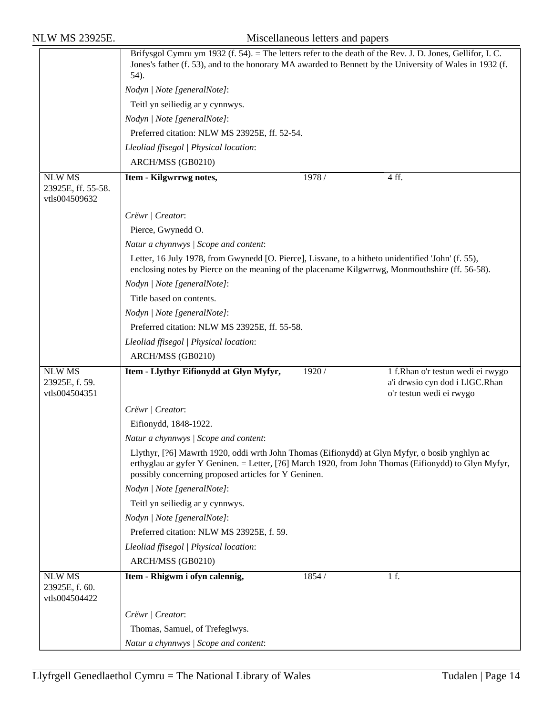|                                                      | Brifysgol Cymru ym 1932 (f. 54). = The letters refer to the death of the Rev. J. D. Jones, Gellifor, I. C.                                                                                                                                                     |        |                                                            |  |
|------------------------------------------------------|----------------------------------------------------------------------------------------------------------------------------------------------------------------------------------------------------------------------------------------------------------------|--------|------------------------------------------------------------|--|
|                                                      | Jones's father (f. 53), and to the honorary MA awarded to Bennett by the University of Wales in 1932 (f.                                                                                                                                                       |        |                                                            |  |
|                                                      | 54).                                                                                                                                                                                                                                                           |        |                                                            |  |
|                                                      | Nodyn   Note [generalNote]:                                                                                                                                                                                                                                    |        |                                                            |  |
|                                                      | Teitl yn seiliedig ar y cynnwys.                                                                                                                                                                                                                               |        |                                                            |  |
|                                                      | Nodyn   Note [generalNote]:                                                                                                                                                                                                                                    |        |                                                            |  |
|                                                      | Preferred citation: NLW MS 23925E, ff. 52-54.                                                                                                                                                                                                                  |        |                                                            |  |
|                                                      | Lleoliad ffisegol   Physical location:                                                                                                                                                                                                                         |        |                                                            |  |
|                                                      | ARCH/MSS (GB0210)                                                                                                                                                                                                                                              |        |                                                            |  |
| <b>NLW MS</b><br>23925E, ff. 55-58.<br>vtls004509632 | Item - Kilgwrrwg notes,                                                                                                                                                                                                                                        | 1978 / | 4 ff.                                                      |  |
|                                                      | Crëwr   Creator:                                                                                                                                                                                                                                               |        |                                                            |  |
|                                                      | Pierce, Gwynedd O.                                                                                                                                                                                                                                             |        |                                                            |  |
|                                                      | Natur a chynnwys / Scope and content:                                                                                                                                                                                                                          |        |                                                            |  |
|                                                      | Letter, 16 July 1978, from Gwynedd [O. Pierce], Lisvane, to a hitheto unidentified 'John' (f. 55),<br>enclosing notes by Pierce on the meaning of the placename Kilgwrrwg, Monmouthshire (ff. 56-58).                                                          |        |                                                            |  |
|                                                      | Nodyn   Note [generalNote]:                                                                                                                                                                                                                                    |        |                                                            |  |
|                                                      | Title based on contents.                                                                                                                                                                                                                                       |        |                                                            |  |
|                                                      | Nodyn   Note [generalNote]:                                                                                                                                                                                                                                    |        |                                                            |  |
|                                                      | Preferred citation: NLW MS 23925E, ff. 55-58.                                                                                                                                                                                                                  |        |                                                            |  |
|                                                      | Lleoliad ffisegol   Physical location:                                                                                                                                                                                                                         |        |                                                            |  |
|                                                      | ARCH/MSS (GB0210)                                                                                                                                                                                                                                              |        |                                                            |  |
| <b>NLW MS</b>                                        | Item - Llythyr Eifionydd at Glyn Myfyr,                                                                                                                                                                                                                        | 1920 / | 1 f.Rhan o'r testun wedi ei rwygo                          |  |
| 23925E, f. 59.<br>vtls004504351                      |                                                                                                                                                                                                                                                                |        | a'i drwsio cyn dod i LlGC.Rhan<br>o'r testun wedi ei rwygo |  |
|                                                      | Crëwr   Creator:                                                                                                                                                                                                                                               |        |                                                            |  |
|                                                      | Eifionydd, 1848-1922.                                                                                                                                                                                                                                          |        |                                                            |  |
|                                                      | Natur a chynnwys / Scope and content:                                                                                                                                                                                                                          |        |                                                            |  |
|                                                      | Llythyr, [?6] Mawrth 1920, oddi wrth John Thomas (Eifionydd) at Glyn Myfyr, o bosib ynghlyn ac<br>erthyglau ar gyfer Y Geninen. = Letter, [?6] March 1920, from John Thomas (Eifionydd) to Glyn Myfyr,<br>possibly concerning proposed articles for Y Geninen. |        |                                                            |  |
|                                                      | Nodyn   Note [generalNote]:                                                                                                                                                                                                                                    |        |                                                            |  |
|                                                      | Teitl yn seiliedig ar y cynnwys.                                                                                                                                                                                                                               |        |                                                            |  |
|                                                      | Nodyn   Note [generalNote]:                                                                                                                                                                                                                                    |        |                                                            |  |
|                                                      | Preferred citation: NLW MS 23925E, f. 59.                                                                                                                                                                                                                      |        |                                                            |  |
|                                                      | Lleoliad ffisegol   Physical location:                                                                                                                                                                                                                         |        |                                                            |  |
|                                                      | ARCH/MSS (GB0210)                                                                                                                                                                                                                                              |        |                                                            |  |
| <b>NLW MS</b><br>23925E, f. 60.<br>vtls004504422     | Item - Rhigwm i ofyn calennig,                                                                                                                                                                                                                                 | 1854 / | 1 f.                                                       |  |
|                                                      | Crëwr   Creator:                                                                                                                                                                                                                                               |        |                                                            |  |
|                                                      | Thomas, Samuel, of Trefeglwys.                                                                                                                                                                                                                                 |        |                                                            |  |
|                                                      | Natur a chynnwys / Scope and content:                                                                                                                                                                                                                          |        |                                                            |  |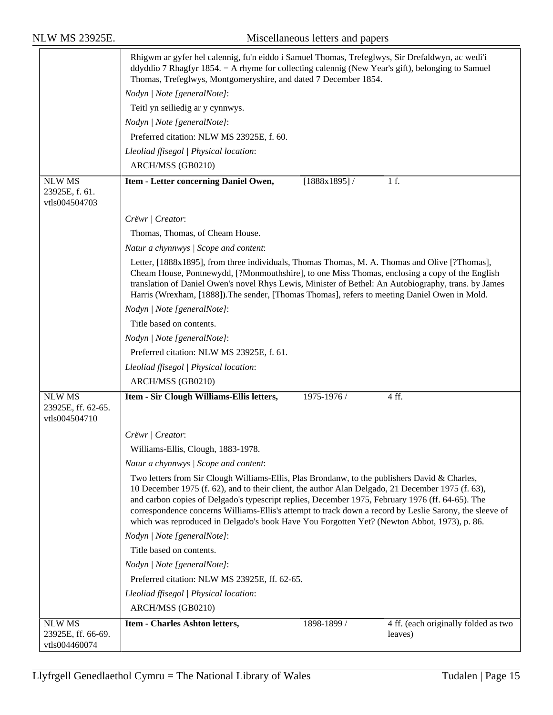|                                                      | Rhigwm ar gyfer hel calennig, fu'n eiddo i Samuel Thomas, Trefeglwys, Sir Drefaldwyn, ac wedi'i<br>ddyddio 7 Rhagfyr 1854. = A rhyme for collecting calennig (New Year's gift), belonging to Samuel<br>Thomas, Trefeglwys, Montgomeryshire, and dated 7 December 1854.                                                                                                                                                                                                                                           |
|------------------------------------------------------|------------------------------------------------------------------------------------------------------------------------------------------------------------------------------------------------------------------------------------------------------------------------------------------------------------------------------------------------------------------------------------------------------------------------------------------------------------------------------------------------------------------|
|                                                      | Nodyn   Note [generalNote]:                                                                                                                                                                                                                                                                                                                                                                                                                                                                                      |
|                                                      | Teitl yn seiliedig ar y cynnwys.                                                                                                                                                                                                                                                                                                                                                                                                                                                                                 |
|                                                      | Nodyn   Note [generalNote]:                                                                                                                                                                                                                                                                                                                                                                                                                                                                                      |
|                                                      | Preferred citation: NLW MS 23925E, f. 60.                                                                                                                                                                                                                                                                                                                                                                                                                                                                        |
|                                                      | Lleoliad ffisegol   Physical location:                                                                                                                                                                                                                                                                                                                                                                                                                                                                           |
|                                                      | ARCH/MSS (GB0210)                                                                                                                                                                                                                                                                                                                                                                                                                                                                                                |
| <b>NLW MS</b><br>23925E, f. 61.<br>vtls004504703     | 1 f.<br>$[1888x1895]$ /<br>Item - Letter concerning Daniel Owen,                                                                                                                                                                                                                                                                                                                                                                                                                                                 |
|                                                      | Crëwr   Creator:                                                                                                                                                                                                                                                                                                                                                                                                                                                                                                 |
|                                                      | Thomas, Thomas, of Cheam House.                                                                                                                                                                                                                                                                                                                                                                                                                                                                                  |
|                                                      | Natur a chynnwys / Scope and content:                                                                                                                                                                                                                                                                                                                                                                                                                                                                            |
|                                                      | Letter, [1888x1895], from three individuals, Thomas Thomas, M. A. Thomas and Olive [?Thomas],<br>Cheam House, Pontnewydd, [?Monmouthshire], to one Miss Thomas, enclosing a copy of the English<br>translation of Daniel Owen's novel Rhys Lewis, Minister of Bethel: An Autobiography, trans. by James<br>Harris (Wrexham, [1888]). The sender, [Thomas Thomas], refers to meeting Daniel Owen in Mold.                                                                                                         |
|                                                      | Nodyn   Note [generalNote]:                                                                                                                                                                                                                                                                                                                                                                                                                                                                                      |
|                                                      | Title based on contents.                                                                                                                                                                                                                                                                                                                                                                                                                                                                                         |
|                                                      | Nodyn   Note [generalNote]:                                                                                                                                                                                                                                                                                                                                                                                                                                                                                      |
|                                                      | Preferred citation: NLW MS 23925E, f. 61.                                                                                                                                                                                                                                                                                                                                                                                                                                                                        |
|                                                      | Lleoliad ffisegol   Physical location:                                                                                                                                                                                                                                                                                                                                                                                                                                                                           |
|                                                      | ARCH/MSS (GB0210)                                                                                                                                                                                                                                                                                                                                                                                                                                                                                                |
| <b>NLW MS</b><br>23925E, ff. 62-65.<br>vtls004504710 | 4ff.<br>Item - Sir Clough Williams-Ellis letters,<br>1975-1976 /                                                                                                                                                                                                                                                                                                                                                                                                                                                 |
|                                                      | Crëwr   Creator:                                                                                                                                                                                                                                                                                                                                                                                                                                                                                                 |
|                                                      | Williams-Ellis, Clough, 1883-1978.                                                                                                                                                                                                                                                                                                                                                                                                                                                                               |
|                                                      | Natur a chynnwys / Scope and content:                                                                                                                                                                                                                                                                                                                                                                                                                                                                            |
|                                                      | Two letters from Sir Clough Williams-Ellis, Plas Brondanw, to the publishers David & Charles,<br>10 December 1975 (f. 62), and to their client, the author Alan Delgado, 21 December 1975 (f. 63),<br>and carbon copies of Delgado's typescript replies, December 1975, February 1976 (ff. 64-65). The<br>correspondence concerns Williams-Ellis's attempt to track down a record by Leslie Sarony, the sleeve of<br>which was reproduced in Delgado's book Have You Forgotten Yet? (Newton Abbot, 1973), p. 86. |
|                                                      | Nodyn   Note [generalNote]:                                                                                                                                                                                                                                                                                                                                                                                                                                                                                      |
|                                                      | Title based on contents.                                                                                                                                                                                                                                                                                                                                                                                                                                                                                         |
|                                                      | Nodyn   Note [generalNote]:                                                                                                                                                                                                                                                                                                                                                                                                                                                                                      |
|                                                      | Preferred citation: NLW MS 23925E, ff. 62-65.                                                                                                                                                                                                                                                                                                                                                                                                                                                                    |
|                                                      | Lleoliad ffisegol   Physical location:                                                                                                                                                                                                                                                                                                                                                                                                                                                                           |
|                                                      | ARCH/MSS (GB0210)                                                                                                                                                                                                                                                                                                                                                                                                                                                                                                |
| <b>NLW MS</b>                                        | 4 ff. (each originally folded as two<br>Item - Charles Ashton letters,<br>1898-1899 /                                                                                                                                                                                                                                                                                                                                                                                                                            |
| 23925E, ff. 66-69.<br>vtls004460074                  | leaves)                                                                                                                                                                                                                                                                                                                                                                                                                                                                                                          |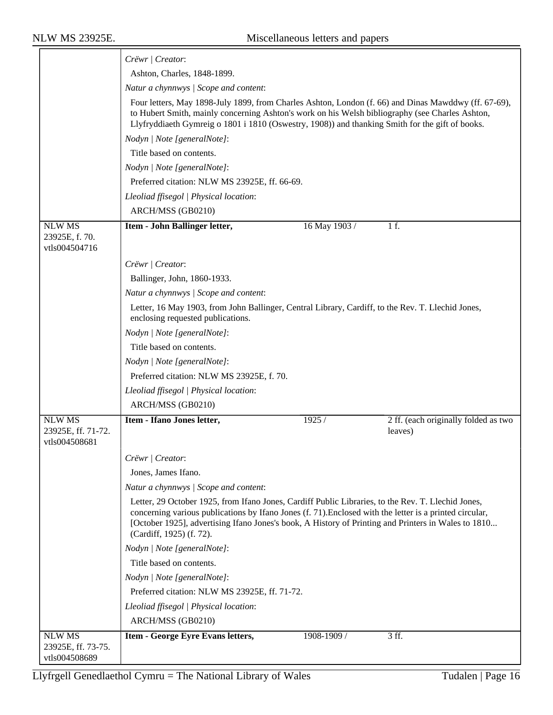|                                                      | Crëwr   Creator:                                                                                                                                                                                                                                                                                                                                 |  |  |  |
|------------------------------------------------------|--------------------------------------------------------------------------------------------------------------------------------------------------------------------------------------------------------------------------------------------------------------------------------------------------------------------------------------------------|--|--|--|
|                                                      | Ashton, Charles, 1848-1899.                                                                                                                                                                                                                                                                                                                      |  |  |  |
|                                                      | Natur a chynnwys / Scope and content:                                                                                                                                                                                                                                                                                                            |  |  |  |
|                                                      | Four letters, May 1898-July 1899, from Charles Ashton, London (f. 66) and Dinas Mawddwy (ff. 67-69),<br>to Hubert Smith, mainly concerning Ashton's work on his Welsh bibliography (see Charles Ashton,<br>Llyfryddiaeth Gymreig o 1801 i 1810 (Oswestry, 1908)) and thanking Smith for the gift of books.                                       |  |  |  |
|                                                      | Nodyn   Note [generalNote]:                                                                                                                                                                                                                                                                                                                      |  |  |  |
|                                                      | Title based on contents.                                                                                                                                                                                                                                                                                                                         |  |  |  |
|                                                      | Nodyn   Note [generalNote]:                                                                                                                                                                                                                                                                                                                      |  |  |  |
|                                                      | Preferred citation: NLW MS 23925E, ff. 66-69.                                                                                                                                                                                                                                                                                                    |  |  |  |
|                                                      | Lleoliad ffisegol   Physical location:                                                                                                                                                                                                                                                                                                           |  |  |  |
|                                                      | ARCH/MSS (GB0210)                                                                                                                                                                                                                                                                                                                                |  |  |  |
| <b>NLW MS</b><br>23925E, f. 70.<br>vtls004504716     | 16 May 1903 /<br>1 f.<br>Item - John Ballinger letter,                                                                                                                                                                                                                                                                                           |  |  |  |
|                                                      | Crëwr   Creator:                                                                                                                                                                                                                                                                                                                                 |  |  |  |
|                                                      | Ballinger, John, 1860-1933.                                                                                                                                                                                                                                                                                                                      |  |  |  |
|                                                      | Natur a chynnwys / Scope and content:                                                                                                                                                                                                                                                                                                            |  |  |  |
|                                                      | Letter, 16 May 1903, from John Ballinger, Central Library, Cardiff, to the Rev. T. Llechid Jones,<br>enclosing requested publications.                                                                                                                                                                                                           |  |  |  |
|                                                      | Nodyn   Note [generalNote]:                                                                                                                                                                                                                                                                                                                      |  |  |  |
|                                                      | Title based on contents.                                                                                                                                                                                                                                                                                                                         |  |  |  |
|                                                      | Nodyn   Note [generalNote]:                                                                                                                                                                                                                                                                                                                      |  |  |  |
|                                                      | Preferred citation: NLW MS 23925E, f. 70.                                                                                                                                                                                                                                                                                                        |  |  |  |
|                                                      | Lleoliad ffisegol   Physical location:                                                                                                                                                                                                                                                                                                           |  |  |  |
|                                                      | ARCH/MSS (GB0210)                                                                                                                                                                                                                                                                                                                                |  |  |  |
| <b>NLW MS</b><br>23925E, ff. 71-72.                  | Item - Ifano Jones letter,<br>2 ff. (each originally folded as two<br>1925/<br>leaves)                                                                                                                                                                                                                                                           |  |  |  |
| vtls004508681                                        |                                                                                                                                                                                                                                                                                                                                                  |  |  |  |
|                                                      | Crëwr   Creator:                                                                                                                                                                                                                                                                                                                                 |  |  |  |
|                                                      | Jones, James Ifano.                                                                                                                                                                                                                                                                                                                              |  |  |  |
|                                                      | Natur a chynnwys / Scope and content:                                                                                                                                                                                                                                                                                                            |  |  |  |
|                                                      | Letter, 29 October 1925, from Ifano Jones, Cardiff Public Libraries, to the Rev. T. Llechid Jones,<br>concerning various publications by Ifano Jones (f. 71). Enclosed with the letter is a printed circular,<br>[October 1925], advertising Ifano Jones's book, A History of Printing and Printers in Wales to 1810<br>(Cardiff, 1925) (f. 72). |  |  |  |
|                                                      | Nodyn   Note [generalNote]:                                                                                                                                                                                                                                                                                                                      |  |  |  |
|                                                      | Title based on contents.                                                                                                                                                                                                                                                                                                                         |  |  |  |
|                                                      | Nodyn   Note [generalNote]:                                                                                                                                                                                                                                                                                                                      |  |  |  |
|                                                      | Preferred citation: NLW MS 23925E, ff. 71-72.                                                                                                                                                                                                                                                                                                    |  |  |  |
|                                                      | Lleoliad ffisegol   Physical location:                                                                                                                                                                                                                                                                                                           |  |  |  |
|                                                      | ARCH/MSS (GB0210)                                                                                                                                                                                                                                                                                                                                |  |  |  |
| <b>NLW MS</b><br>23925E, ff. 73-75.<br>vtls004508689 | Item - George Eyre Evans letters,<br>1908-1909 /<br>3 ff.                                                                                                                                                                                                                                                                                        |  |  |  |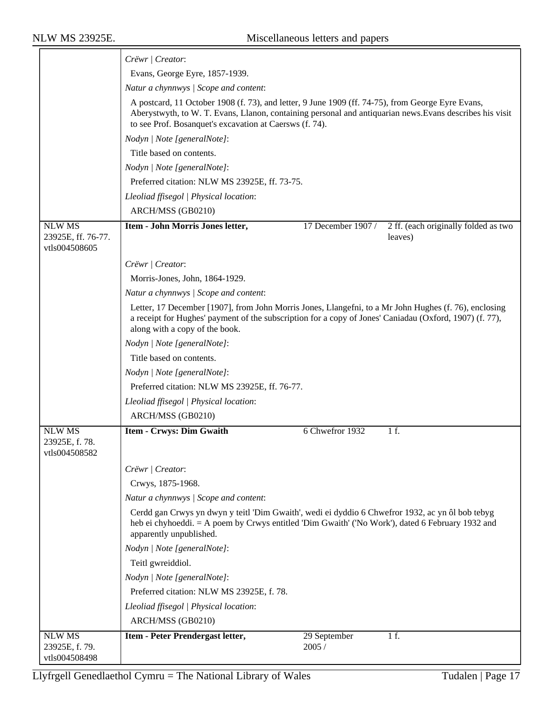|                                                      | Crëwr   Creator:                                                                                                                                                                                                                                                         |  |  |  |  |
|------------------------------------------------------|--------------------------------------------------------------------------------------------------------------------------------------------------------------------------------------------------------------------------------------------------------------------------|--|--|--|--|
|                                                      | Evans, George Eyre, 1857-1939.                                                                                                                                                                                                                                           |  |  |  |  |
|                                                      | Natur a chynnwys / Scope and content:                                                                                                                                                                                                                                    |  |  |  |  |
|                                                      | A postcard, 11 October 1908 (f. 73), and letter, 9 June 1909 (ff. 74-75), from George Eyre Evans,<br>Aberystwyth, to W. T. Evans, Llanon, containing personal and antiquarian news. Evans describes his visit<br>to see Prof. Bosanquet's excavation at Caersws (f. 74). |  |  |  |  |
|                                                      | Nodyn   Note [generalNote]:                                                                                                                                                                                                                                              |  |  |  |  |
|                                                      | Title based on contents.                                                                                                                                                                                                                                                 |  |  |  |  |
|                                                      | Nodyn   Note [generalNote]:                                                                                                                                                                                                                                              |  |  |  |  |
|                                                      | Preferred citation: NLW MS 23925E, ff. 73-75.                                                                                                                                                                                                                            |  |  |  |  |
|                                                      | Lleoliad ffisegol   Physical location:                                                                                                                                                                                                                                   |  |  |  |  |
|                                                      | ARCH/MSS (GB0210)                                                                                                                                                                                                                                                        |  |  |  |  |
| <b>NLW MS</b><br>23925E, ff. 76-77.<br>vtls004508605 | Item - John Morris Jones letter,<br>17 December 1907 /<br>2 ff. (each originally folded as two<br>leaves)                                                                                                                                                                |  |  |  |  |
|                                                      | Crëwr   Creator:                                                                                                                                                                                                                                                         |  |  |  |  |
|                                                      | Morris-Jones, John, 1864-1929.                                                                                                                                                                                                                                           |  |  |  |  |
|                                                      | Natur a chynnwys / Scope and content:                                                                                                                                                                                                                                    |  |  |  |  |
|                                                      | Letter, 17 December [1907], from John Morris Jones, Llangefni, to a Mr John Hughes (f. 76), enclosing<br>a receipt for Hughes' payment of the subscription for a copy of Jones' Caniadau (Oxford, 1907) (f. 77),<br>along with a copy of the book.                       |  |  |  |  |
|                                                      | Nodyn   Note [generalNote]:                                                                                                                                                                                                                                              |  |  |  |  |
|                                                      | Title based on contents.                                                                                                                                                                                                                                                 |  |  |  |  |
|                                                      | Nodyn   Note [generalNote]:                                                                                                                                                                                                                                              |  |  |  |  |
|                                                      | Preferred citation: NLW MS 23925E, ff. 76-77.                                                                                                                                                                                                                            |  |  |  |  |
|                                                      | Lleoliad ffisegol   Physical location:                                                                                                                                                                                                                                   |  |  |  |  |
|                                                      | ARCH/MSS (GB0210)                                                                                                                                                                                                                                                        |  |  |  |  |
| <b>NLW MS</b><br>23925E, f. 78.<br>vtls004508582     | 6 Chwefror 1932<br>Item - Crwys: Dim Gwaith<br>1 f.                                                                                                                                                                                                                      |  |  |  |  |
|                                                      | Crëwr   Creator:                                                                                                                                                                                                                                                         |  |  |  |  |
|                                                      | Crwys, 1875-1968.                                                                                                                                                                                                                                                        |  |  |  |  |
|                                                      | Natur a chynnwys / Scope and content:                                                                                                                                                                                                                                    |  |  |  |  |
|                                                      | Cerdd gan Crwys yn dwyn y teitl 'Dim Gwaith', wedi ei dyddio 6 Chwefror 1932, ac yn ôl bob tebyg<br>heb ei chyhoeddi. = A poem by Crwys entitled 'Dim Gwaith' ('No Work'), dated 6 February 1932 and<br>apparently unpublished.                                          |  |  |  |  |
|                                                      | Nodyn   Note [generalNote]:                                                                                                                                                                                                                                              |  |  |  |  |
|                                                      | Teitl gwreiddiol.                                                                                                                                                                                                                                                        |  |  |  |  |
|                                                      | Nodyn   Note [generalNote]:                                                                                                                                                                                                                                              |  |  |  |  |
|                                                      | Preferred citation: NLW MS 23925E, f. 78.                                                                                                                                                                                                                                |  |  |  |  |
|                                                      | Lleoliad ffisegol   Physical location:                                                                                                                                                                                                                                   |  |  |  |  |
|                                                      | ARCH/MSS (GB0210)                                                                                                                                                                                                                                                        |  |  |  |  |
| <b>NLW MS</b><br>23925E, f. 79.<br>vtls004508498     | Item - Peter Prendergast letter,<br>29 September<br>1 f.<br>2005 /                                                                                                                                                                                                       |  |  |  |  |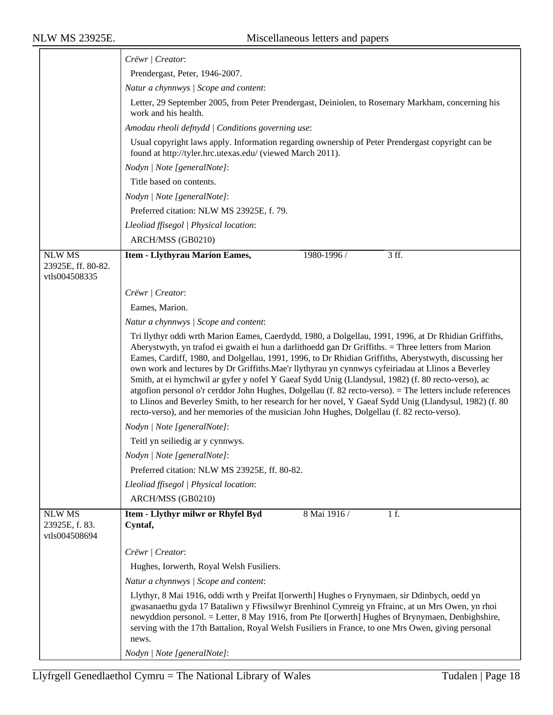|                                                      | Crëwr   Creator:                                                                                                                                                                                                                                                                                                                                                                                                                                                                                                                                                                                                                                                                                                                                                                                                                                         |  |  |  |
|------------------------------------------------------|----------------------------------------------------------------------------------------------------------------------------------------------------------------------------------------------------------------------------------------------------------------------------------------------------------------------------------------------------------------------------------------------------------------------------------------------------------------------------------------------------------------------------------------------------------------------------------------------------------------------------------------------------------------------------------------------------------------------------------------------------------------------------------------------------------------------------------------------------------|--|--|--|
|                                                      | Prendergast, Peter, 1946-2007.                                                                                                                                                                                                                                                                                                                                                                                                                                                                                                                                                                                                                                                                                                                                                                                                                           |  |  |  |
|                                                      | Natur a chynnwys / Scope and content:                                                                                                                                                                                                                                                                                                                                                                                                                                                                                                                                                                                                                                                                                                                                                                                                                    |  |  |  |
|                                                      | Letter, 29 September 2005, from Peter Prendergast, Deiniolen, to Rosemary Markham, concerning his<br>work and his health.                                                                                                                                                                                                                                                                                                                                                                                                                                                                                                                                                                                                                                                                                                                                |  |  |  |
|                                                      | Amodau rheoli defnydd   Conditions governing use:                                                                                                                                                                                                                                                                                                                                                                                                                                                                                                                                                                                                                                                                                                                                                                                                        |  |  |  |
|                                                      | Usual copyright laws apply. Information regarding ownership of Peter Prendergast copyright can be<br>found at http://tyler.hrc.utexas.edu/ (viewed March 2011).                                                                                                                                                                                                                                                                                                                                                                                                                                                                                                                                                                                                                                                                                          |  |  |  |
|                                                      | Nodyn   Note [generalNote]:                                                                                                                                                                                                                                                                                                                                                                                                                                                                                                                                                                                                                                                                                                                                                                                                                              |  |  |  |
|                                                      | Title based on contents.                                                                                                                                                                                                                                                                                                                                                                                                                                                                                                                                                                                                                                                                                                                                                                                                                                 |  |  |  |
|                                                      | Nodyn   Note [generalNote]:                                                                                                                                                                                                                                                                                                                                                                                                                                                                                                                                                                                                                                                                                                                                                                                                                              |  |  |  |
|                                                      | Preferred citation: NLW MS 23925E, f. 79.                                                                                                                                                                                                                                                                                                                                                                                                                                                                                                                                                                                                                                                                                                                                                                                                                |  |  |  |
|                                                      | Lleoliad ffisegol   Physical location:                                                                                                                                                                                                                                                                                                                                                                                                                                                                                                                                                                                                                                                                                                                                                                                                                   |  |  |  |
|                                                      | ARCH/MSS (GB0210)                                                                                                                                                                                                                                                                                                                                                                                                                                                                                                                                                                                                                                                                                                                                                                                                                                        |  |  |  |
| <b>NLW MS</b><br>23925E, ff. 80-82.<br>vtls004508335 | <b>Item - Llythyrau Marion Eames,</b><br>1980-1996 /<br>3 ff.                                                                                                                                                                                                                                                                                                                                                                                                                                                                                                                                                                                                                                                                                                                                                                                            |  |  |  |
|                                                      | Crëwr   Creator:                                                                                                                                                                                                                                                                                                                                                                                                                                                                                                                                                                                                                                                                                                                                                                                                                                         |  |  |  |
|                                                      | Eames, Marion.                                                                                                                                                                                                                                                                                                                                                                                                                                                                                                                                                                                                                                                                                                                                                                                                                                           |  |  |  |
|                                                      | Natur a chynnwys / Scope and content:                                                                                                                                                                                                                                                                                                                                                                                                                                                                                                                                                                                                                                                                                                                                                                                                                    |  |  |  |
|                                                      | Tri llythyr oddi wrth Marion Eames, Caerdydd, 1980, a Dolgellau, 1991, 1996, at Dr Rhidian Griffiths,<br>Aberystwyth, yn trafod ei gwaith ei hun a darlithoedd gan Dr Griffiths. = Three letters from Marion<br>Eames, Cardiff, 1980, and Dolgellau, 1991, 1996, to Dr Rhidian Griffiths, Aberystwyth, discussing her<br>own work and lectures by Dr Griffiths. Mae'r llythyrau yn cynnwys cyfeiriadau at Llinos a Beverley<br>Smith, at ei hymchwil ar gyfer y nofel Y Gaeaf Sydd Unig (Llandysul, 1982) (f. 80 recto-verso), ac<br>atgofion personol o'r cerddor John Hughes, Dolgellau (f. 82 recto-verso). = The letters include references<br>to Llinos and Beverley Smith, to her research for her novel, Y Gaeaf Sydd Unig (Llandysul, 1982) (f. 80<br>recto-verso), and her memories of the musician John Hughes, Dolgellau (f. 82 recto-verso). |  |  |  |
|                                                      | Nodyn   Note [generalNote]:                                                                                                                                                                                                                                                                                                                                                                                                                                                                                                                                                                                                                                                                                                                                                                                                                              |  |  |  |
|                                                      | Teitl yn seiliedig ar y cynnwys.                                                                                                                                                                                                                                                                                                                                                                                                                                                                                                                                                                                                                                                                                                                                                                                                                         |  |  |  |
|                                                      | Nodyn   Note [generalNote]:                                                                                                                                                                                                                                                                                                                                                                                                                                                                                                                                                                                                                                                                                                                                                                                                                              |  |  |  |
|                                                      | Preferred citation: NLW MS 23925E, ff. 80-82.                                                                                                                                                                                                                                                                                                                                                                                                                                                                                                                                                                                                                                                                                                                                                                                                            |  |  |  |
|                                                      | Lleoliad ffisegol   Physical location:                                                                                                                                                                                                                                                                                                                                                                                                                                                                                                                                                                                                                                                                                                                                                                                                                   |  |  |  |
|                                                      | ARCH/MSS (GB0210)                                                                                                                                                                                                                                                                                                                                                                                                                                                                                                                                                                                                                                                                                                                                                                                                                                        |  |  |  |
| <b>NLW MS</b><br>23925E, f. 83.<br>vtls004508694     | Item - Llythyr milwr or Rhyfel Byd<br>8 Mai 1916 /<br>1 f.<br>Cyntaf,                                                                                                                                                                                                                                                                                                                                                                                                                                                                                                                                                                                                                                                                                                                                                                                    |  |  |  |
|                                                      | Crëwr   Creator:                                                                                                                                                                                                                                                                                                                                                                                                                                                                                                                                                                                                                                                                                                                                                                                                                                         |  |  |  |
|                                                      | Hughes, Iorwerth, Royal Welsh Fusiliers.                                                                                                                                                                                                                                                                                                                                                                                                                                                                                                                                                                                                                                                                                                                                                                                                                 |  |  |  |
|                                                      | Natur a chynnwys / Scope and content:                                                                                                                                                                                                                                                                                                                                                                                                                                                                                                                                                                                                                                                                                                                                                                                                                    |  |  |  |
|                                                      | Llythyr, 8 Mai 1916, oddi wrth y Preifat I[orwerth] Hughes o Frynymaen, sir Ddinbych, oedd yn<br>gwasanaethu gyda 17 Bataliwn y Ffiwsilwyr Brenhinol Cymreig yn Ffrainc, at un Mrs Owen, yn rhoi<br>newyddion personol. = Letter, 8 May 1916, from Pte I[orwerth] Hughes of Brynymaen, Denbighshire,<br>serving with the 17th Battalion, Royal Welsh Fusiliers in France, to one Mrs Owen, giving personal<br>news.                                                                                                                                                                                                                                                                                                                                                                                                                                      |  |  |  |
|                                                      | Nodyn   Note [generalNote]:                                                                                                                                                                                                                                                                                                                                                                                                                                                                                                                                                                                                                                                                                                                                                                                                                              |  |  |  |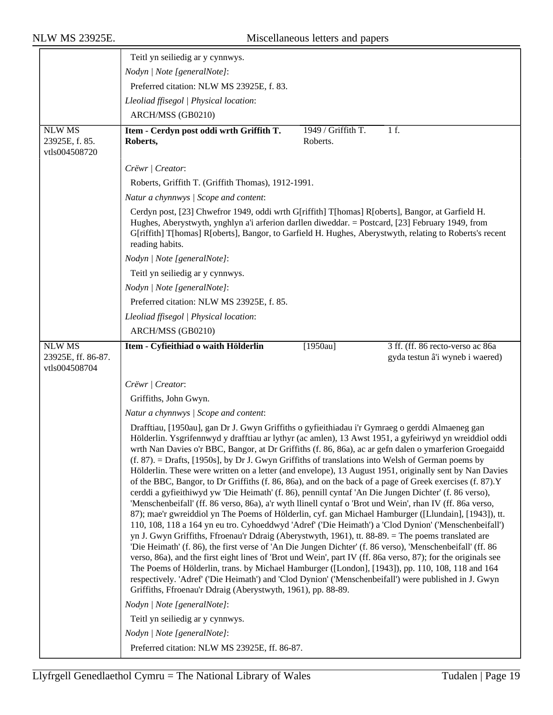|                                                      | Teitl yn seiliedig ar y cynnwys.                                                                                                                                                                                                                                                                                                                                                                                                                                                                                                                                                                                                                                                                                                                                                                                                                                                                                                                                                                                                                                                                                                                                                                                                                                                                                                                                                                                                                                                                                                                                                                                                                                                                              |                                |                                                                     |  |
|------------------------------------------------------|---------------------------------------------------------------------------------------------------------------------------------------------------------------------------------------------------------------------------------------------------------------------------------------------------------------------------------------------------------------------------------------------------------------------------------------------------------------------------------------------------------------------------------------------------------------------------------------------------------------------------------------------------------------------------------------------------------------------------------------------------------------------------------------------------------------------------------------------------------------------------------------------------------------------------------------------------------------------------------------------------------------------------------------------------------------------------------------------------------------------------------------------------------------------------------------------------------------------------------------------------------------------------------------------------------------------------------------------------------------------------------------------------------------------------------------------------------------------------------------------------------------------------------------------------------------------------------------------------------------------------------------------------------------------------------------------------------------|--------------------------------|---------------------------------------------------------------------|--|
|                                                      | Nodyn   Note [generalNote]:                                                                                                                                                                                                                                                                                                                                                                                                                                                                                                                                                                                                                                                                                                                                                                                                                                                                                                                                                                                                                                                                                                                                                                                                                                                                                                                                                                                                                                                                                                                                                                                                                                                                                   |                                |                                                                     |  |
|                                                      | Preferred citation: NLW MS 23925E, f. 83.                                                                                                                                                                                                                                                                                                                                                                                                                                                                                                                                                                                                                                                                                                                                                                                                                                                                                                                                                                                                                                                                                                                                                                                                                                                                                                                                                                                                                                                                                                                                                                                                                                                                     |                                |                                                                     |  |
|                                                      | Lleoliad ffisegol   Physical location:                                                                                                                                                                                                                                                                                                                                                                                                                                                                                                                                                                                                                                                                                                                                                                                                                                                                                                                                                                                                                                                                                                                                                                                                                                                                                                                                                                                                                                                                                                                                                                                                                                                                        |                                |                                                                     |  |
|                                                      | ARCH/MSS (GB0210)                                                                                                                                                                                                                                                                                                                                                                                                                                                                                                                                                                                                                                                                                                                                                                                                                                                                                                                                                                                                                                                                                                                                                                                                                                                                                                                                                                                                                                                                                                                                                                                                                                                                                             |                                |                                                                     |  |
| <b>NLW MS</b><br>23925E, f. 85.<br>vtls004508720     | Item - Cerdyn post oddi wrth Griffith T.<br>Roberts,                                                                                                                                                                                                                                                                                                                                                                                                                                                                                                                                                                                                                                                                                                                                                                                                                                                                                                                                                                                                                                                                                                                                                                                                                                                                                                                                                                                                                                                                                                                                                                                                                                                          | 1949 / Griffith T.<br>Roberts. | 1 f.                                                                |  |
|                                                      | Crëwr   Creator:                                                                                                                                                                                                                                                                                                                                                                                                                                                                                                                                                                                                                                                                                                                                                                                                                                                                                                                                                                                                                                                                                                                                                                                                                                                                                                                                                                                                                                                                                                                                                                                                                                                                                              |                                |                                                                     |  |
|                                                      | Roberts, Griffith T. (Griffith Thomas), 1912-1991.                                                                                                                                                                                                                                                                                                                                                                                                                                                                                                                                                                                                                                                                                                                                                                                                                                                                                                                                                                                                                                                                                                                                                                                                                                                                                                                                                                                                                                                                                                                                                                                                                                                            |                                |                                                                     |  |
|                                                      | Natur a chynnwys / Scope and content:                                                                                                                                                                                                                                                                                                                                                                                                                                                                                                                                                                                                                                                                                                                                                                                                                                                                                                                                                                                                                                                                                                                                                                                                                                                                                                                                                                                                                                                                                                                                                                                                                                                                         |                                |                                                                     |  |
|                                                      | Cerdyn post, [23] Chwefror 1949, oddi wrth G[riffith] T[homas] R[oberts], Bangor, at Garfield H.<br>Hughes, Aberystwyth, ynghlyn a'i arferion darllen diweddar. = Postcard, [23] February 1949, from<br>G[riffith] T[homas] R[oberts], Bangor, to Garfield H. Hughes, Aberystwyth, relating to Roberts's recent<br>reading habits.                                                                                                                                                                                                                                                                                                                                                                                                                                                                                                                                                                                                                                                                                                                                                                                                                                                                                                                                                                                                                                                                                                                                                                                                                                                                                                                                                                            |                                |                                                                     |  |
|                                                      | Nodyn   Note [generalNote]:                                                                                                                                                                                                                                                                                                                                                                                                                                                                                                                                                                                                                                                                                                                                                                                                                                                                                                                                                                                                                                                                                                                                                                                                                                                                                                                                                                                                                                                                                                                                                                                                                                                                                   |                                |                                                                     |  |
|                                                      | Teitl yn seiliedig ar y cynnwys.                                                                                                                                                                                                                                                                                                                                                                                                                                                                                                                                                                                                                                                                                                                                                                                                                                                                                                                                                                                                                                                                                                                                                                                                                                                                                                                                                                                                                                                                                                                                                                                                                                                                              |                                |                                                                     |  |
|                                                      | Nodyn   Note [generalNote]:                                                                                                                                                                                                                                                                                                                                                                                                                                                                                                                                                                                                                                                                                                                                                                                                                                                                                                                                                                                                                                                                                                                                                                                                                                                                                                                                                                                                                                                                                                                                                                                                                                                                                   |                                |                                                                     |  |
|                                                      | Preferred citation: NLW MS 23925E, f. 85.                                                                                                                                                                                                                                                                                                                                                                                                                                                                                                                                                                                                                                                                                                                                                                                                                                                                                                                                                                                                                                                                                                                                                                                                                                                                                                                                                                                                                                                                                                                                                                                                                                                                     |                                |                                                                     |  |
|                                                      | Lleoliad ffisegol   Physical location:                                                                                                                                                                                                                                                                                                                                                                                                                                                                                                                                                                                                                                                                                                                                                                                                                                                                                                                                                                                                                                                                                                                                                                                                                                                                                                                                                                                                                                                                                                                                                                                                                                                                        |                                |                                                                     |  |
|                                                      | ARCH/MSS (GB0210)                                                                                                                                                                                                                                                                                                                                                                                                                                                                                                                                                                                                                                                                                                                                                                                                                                                                                                                                                                                                                                                                                                                                                                                                                                                                                                                                                                                                                                                                                                                                                                                                                                                                                             |                                |                                                                     |  |
| <b>NLW MS</b><br>23925E, ff. 86-87.<br>vtls004508704 | Item - Cyfieithiad o waith Hölderlin                                                                                                                                                                                                                                                                                                                                                                                                                                                                                                                                                                                                                                                                                                                                                                                                                                                                                                                                                                                                                                                                                                                                                                                                                                                                                                                                                                                                                                                                                                                                                                                                                                                                          | $[1950au]$                     | 3 ff. (ff. 86 recto-verso ac 86a<br>gyda testun â'i wyneb i waered) |  |
|                                                      | Crëwr   Creator:                                                                                                                                                                                                                                                                                                                                                                                                                                                                                                                                                                                                                                                                                                                                                                                                                                                                                                                                                                                                                                                                                                                                                                                                                                                                                                                                                                                                                                                                                                                                                                                                                                                                                              |                                |                                                                     |  |
|                                                      | Griffiths, John Gwyn.                                                                                                                                                                                                                                                                                                                                                                                                                                                                                                                                                                                                                                                                                                                                                                                                                                                                                                                                                                                                                                                                                                                                                                                                                                                                                                                                                                                                                                                                                                                                                                                                                                                                                         |                                |                                                                     |  |
|                                                      | Natur a chynnwys / Scope and content:                                                                                                                                                                                                                                                                                                                                                                                                                                                                                                                                                                                                                                                                                                                                                                                                                                                                                                                                                                                                                                                                                                                                                                                                                                                                                                                                                                                                                                                                                                                                                                                                                                                                         |                                |                                                                     |  |
|                                                      | Drafftiau, [1950au], gan Dr J. Gwyn Griffiths o gyfieithiadau i'r Gymraeg o gerddi Almaeneg gan<br>Hölderlin. Ysgrifennwyd y drafftiau ar lythyr (ac amlen), 13 Awst 1951, a gyfeiriwyd yn wreiddiol oddi<br>wrth Nan Davies o'r BBC, Bangor, at Dr Griffiths (f. 86, 86a), ac ar gefn dalen o ymarferion Groegaidd<br>$(f. 87)$ . = Drafts, [1950s], by Dr J. Gwyn Griffiths of translations into Welsh of German poems by<br>Hölderlin. These were written on a letter (and envelope), 13 August 1951, originally sent by Nan Davies<br>of the BBC, Bangor, to Dr Griffiths (f. 86, 86a), and on the back of a page of Greek exercises (f. 87).Y<br>cerddi a gyfieithiwyd yw 'Die Heimath' (f. 86), pennill cyntaf 'An Die Jungen Dichter' (f. 86 verso),<br>'Menschenbeifall' (ff. 86 verso, 86a), a'r wyth llinell cyntaf o 'Brot und Wein', rhan IV (ff. 86a verso,<br>87); mae'r gwreiddiol yn The Poems of Hölderlin, cyf. gan Michael Hamburger ([Llundain], [1943]), tt.<br>110, 108, 118 a 164 yn eu tro. Cyhoeddwyd 'Adref' ('Die Heimath') a 'Clod Dynion' ('Menschenbeifall')<br>yn J. Gwyn Griffiths, Ffroenau'r Ddraig (Aberystwyth, 1961), tt. 88-89. = The poems translated are<br>'Die Heimath' (f. 86), the first verse of 'An Die Jungen Dichter' (f. 86 verso), 'Menschenbeifall' (ff. 86<br>verso, 86a), and the first eight lines of 'Brot und Wein', part IV (ff. 86a verso, 87); for the originals see<br>The Poems of Hölderlin, trans. by Michael Hamburger ([London], [1943]), pp. 110, 108, 118 and 164<br>respectively. 'Adref' ('Die Heimath') and 'Clod Dynion' ('Menschenbeifall') were published in J. Gwyn<br>Griffiths, Ffroenau'r Ddraig (Aberystwyth, 1961), pp. 88-89. |                                |                                                                     |  |
|                                                      | Nodyn   Note [generalNote]:                                                                                                                                                                                                                                                                                                                                                                                                                                                                                                                                                                                                                                                                                                                                                                                                                                                                                                                                                                                                                                                                                                                                                                                                                                                                                                                                                                                                                                                                                                                                                                                                                                                                                   |                                |                                                                     |  |
|                                                      | Teitl yn seiliedig ar y cynnwys.                                                                                                                                                                                                                                                                                                                                                                                                                                                                                                                                                                                                                                                                                                                                                                                                                                                                                                                                                                                                                                                                                                                                                                                                                                                                                                                                                                                                                                                                                                                                                                                                                                                                              |                                |                                                                     |  |
|                                                      | Nodyn   Note [generalNote]:                                                                                                                                                                                                                                                                                                                                                                                                                                                                                                                                                                                                                                                                                                                                                                                                                                                                                                                                                                                                                                                                                                                                                                                                                                                                                                                                                                                                                                                                                                                                                                                                                                                                                   |                                |                                                                     |  |
|                                                      | Preferred citation: NLW MS 23925E, ff. 86-87.                                                                                                                                                                                                                                                                                                                                                                                                                                                                                                                                                                                                                                                                                                                                                                                                                                                                                                                                                                                                                                                                                                                                                                                                                                                                                                                                                                                                                                                                                                                                                                                                                                                                 |                                |                                                                     |  |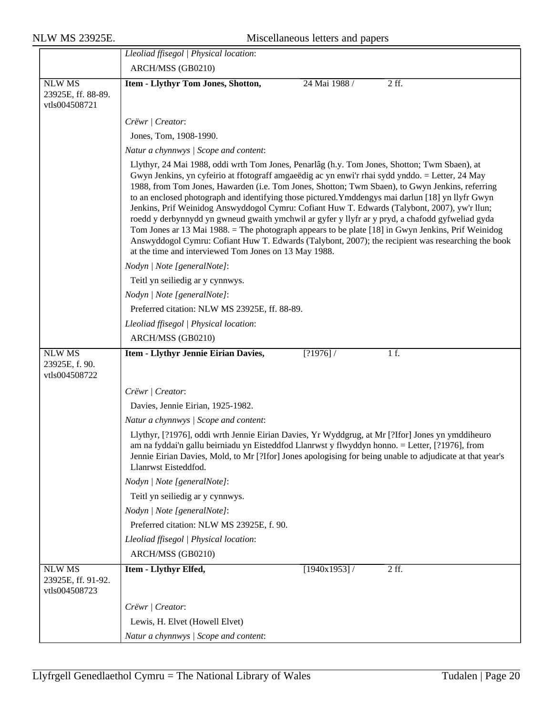|                                                      | Lleoliad ffisegol   Physical location:                                                                                                                                                                                                                                                                                                                                                                                                                                                                                                                                                                                                                                                                                                                                                                                                                                             |  |  |  |  |
|------------------------------------------------------|------------------------------------------------------------------------------------------------------------------------------------------------------------------------------------------------------------------------------------------------------------------------------------------------------------------------------------------------------------------------------------------------------------------------------------------------------------------------------------------------------------------------------------------------------------------------------------------------------------------------------------------------------------------------------------------------------------------------------------------------------------------------------------------------------------------------------------------------------------------------------------|--|--|--|--|
|                                                      | ARCH/MSS (GB0210)                                                                                                                                                                                                                                                                                                                                                                                                                                                                                                                                                                                                                                                                                                                                                                                                                                                                  |  |  |  |  |
| <b>NLW MS</b><br>23925E, ff. 88-89.<br>vtls004508721 | Item - Llythyr Tom Jones, Shotton,<br>2 ff.<br>24 Mai 1988 /                                                                                                                                                                                                                                                                                                                                                                                                                                                                                                                                                                                                                                                                                                                                                                                                                       |  |  |  |  |
|                                                      | Crëwr   Creator:                                                                                                                                                                                                                                                                                                                                                                                                                                                                                                                                                                                                                                                                                                                                                                                                                                                                   |  |  |  |  |
|                                                      | Jones, Tom, 1908-1990.                                                                                                                                                                                                                                                                                                                                                                                                                                                                                                                                                                                                                                                                                                                                                                                                                                                             |  |  |  |  |
|                                                      | Natur a chynnwys / Scope and content:                                                                                                                                                                                                                                                                                                                                                                                                                                                                                                                                                                                                                                                                                                                                                                                                                                              |  |  |  |  |
|                                                      | Llythyr, 24 Mai 1988, oddi wrth Tom Jones, Penarlâg (h.y. Tom Jones, Shotton; Twm Sbaen), at<br>Gwyn Jenkins, yn cyfeirio at ffotograff amgaeëdig ac yn enwi'r rhai sydd ynddo. = Letter, 24 May<br>1988, from Tom Jones, Hawarden (i.e. Tom Jones, Shotton; Twm Sbaen), to Gwyn Jenkins, referring<br>to an enclosed photograph and identifying those pictured. Ymddengys mai darlun [18] yn llyfr Gwyn<br>Jenkins, Prif Weinidog Answyddogol Cymru: Cofiant Huw T. Edwards (Talybont, 2007), yw'r llun;<br>roedd y derbynnydd yn gwneud gwaith ymchwil ar gyfer y llyfr ar y pryd, a chafodd gyfweliad gyda<br>Tom Jones ar 13 Mai 1988. = The photograph appears to be plate [18] in Gwyn Jenkins, Prif Weinidog<br>Answyddogol Cymru: Cofiant Huw T. Edwards (Talybont, 2007); the recipient was researching the book<br>at the time and interviewed Tom Jones on 13 May 1988. |  |  |  |  |
|                                                      | Nodyn   Note [generalNote]:                                                                                                                                                                                                                                                                                                                                                                                                                                                                                                                                                                                                                                                                                                                                                                                                                                                        |  |  |  |  |
|                                                      | Teitl yn seiliedig ar y cynnwys.                                                                                                                                                                                                                                                                                                                                                                                                                                                                                                                                                                                                                                                                                                                                                                                                                                                   |  |  |  |  |
|                                                      | Nodyn   Note [generalNote]:                                                                                                                                                                                                                                                                                                                                                                                                                                                                                                                                                                                                                                                                                                                                                                                                                                                        |  |  |  |  |
|                                                      | Preferred citation: NLW MS 23925E, ff. 88-89.                                                                                                                                                                                                                                                                                                                                                                                                                                                                                                                                                                                                                                                                                                                                                                                                                                      |  |  |  |  |
|                                                      | Lleoliad ffisegol   Physical location:<br>ARCH/MSS (GB0210)                                                                                                                                                                                                                                                                                                                                                                                                                                                                                                                                                                                                                                                                                                                                                                                                                        |  |  |  |  |
|                                                      |                                                                                                                                                                                                                                                                                                                                                                                                                                                                                                                                                                                                                                                                                                                                                                                                                                                                                    |  |  |  |  |
| <b>NLW MS</b><br>23925E, f. 90.<br>vtls004508722     | Item - Llythyr Jennie Eirian Davies,<br>[?1976] /<br>1 f.                                                                                                                                                                                                                                                                                                                                                                                                                                                                                                                                                                                                                                                                                                                                                                                                                          |  |  |  |  |
|                                                      | Crëwr   Creator:                                                                                                                                                                                                                                                                                                                                                                                                                                                                                                                                                                                                                                                                                                                                                                                                                                                                   |  |  |  |  |
|                                                      | Davies, Jennie Eirian, 1925-1982.                                                                                                                                                                                                                                                                                                                                                                                                                                                                                                                                                                                                                                                                                                                                                                                                                                                  |  |  |  |  |
|                                                      | Natur a chynnwys / Scope and content:<br>Llythyr, [?1976], oddi wrth Jennie Eirian Davies, Yr Wyddgrug, at Mr [?Ifor] Jones yn ymddiheuro<br>am na fyddai'n gallu beirniadu yn Eisteddfod Llanrwst y flwyddyn honno. = Letter, [?1976], from<br>Jennie Eirian Davies, Mold, to Mr [?Ifor] Jones apologising for being unable to adjudicate at that year's<br>Llanrwst Eisteddfod.                                                                                                                                                                                                                                                                                                                                                                                                                                                                                                  |  |  |  |  |
|                                                      |                                                                                                                                                                                                                                                                                                                                                                                                                                                                                                                                                                                                                                                                                                                                                                                                                                                                                    |  |  |  |  |
|                                                      | Nodyn   Note [generalNote]:                                                                                                                                                                                                                                                                                                                                                                                                                                                                                                                                                                                                                                                                                                                                                                                                                                                        |  |  |  |  |
|                                                      | Teitl yn seiliedig ar y cynnwys.                                                                                                                                                                                                                                                                                                                                                                                                                                                                                                                                                                                                                                                                                                                                                                                                                                                   |  |  |  |  |
|                                                      | Nodyn   Note [generalNote]:                                                                                                                                                                                                                                                                                                                                                                                                                                                                                                                                                                                                                                                                                                                                                                                                                                                        |  |  |  |  |
|                                                      | Preferred citation: NLW MS 23925E, f. 90.                                                                                                                                                                                                                                                                                                                                                                                                                                                                                                                                                                                                                                                                                                                                                                                                                                          |  |  |  |  |
|                                                      | Lleoliad ffisegol   Physical location:                                                                                                                                                                                                                                                                                                                                                                                                                                                                                                                                                                                                                                                                                                                                                                                                                                             |  |  |  |  |
|                                                      | ARCH/MSS (GB0210)                                                                                                                                                                                                                                                                                                                                                                                                                                                                                                                                                                                                                                                                                                                                                                                                                                                                  |  |  |  |  |
| <b>NLW MS</b><br>23925E, ff. 91-92.<br>vtls004508723 | [1940x1953]<br>2ff.<br>Item - Llythyr Elfed,                                                                                                                                                                                                                                                                                                                                                                                                                                                                                                                                                                                                                                                                                                                                                                                                                                       |  |  |  |  |
|                                                      | Crëwr   Creator:                                                                                                                                                                                                                                                                                                                                                                                                                                                                                                                                                                                                                                                                                                                                                                                                                                                                   |  |  |  |  |
|                                                      | Lewis, H. Elvet (Howell Elvet)                                                                                                                                                                                                                                                                                                                                                                                                                                                                                                                                                                                                                                                                                                                                                                                                                                                     |  |  |  |  |
|                                                      |                                                                                                                                                                                                                                                                                                                                                                                                                                                                                                                                                                                                                                                                                                                                                                                                                                                                                    |  |  |  |  |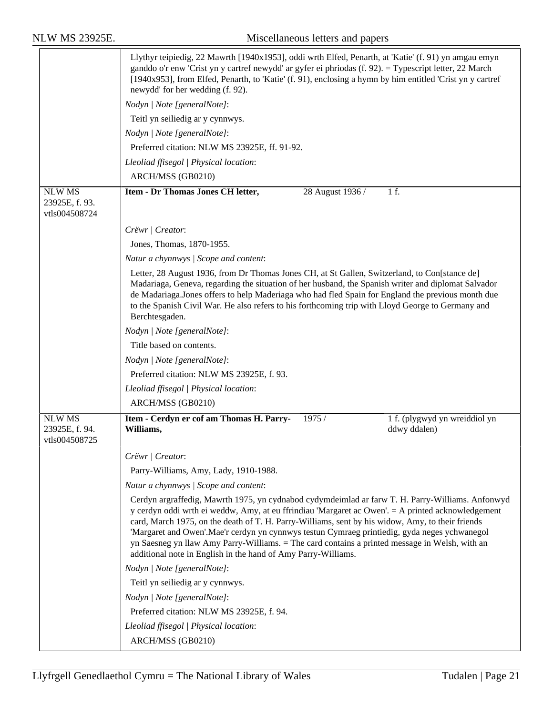|                                 | Llythyr teipiedig, 22 Mawrth [1940x1953], oddi wrth Elfed, Penarth, at 'Katie' (f. 91) yn amgau emyn<br>ganddo o'r enw 'Crist yn y cartref newydd' ar gyfer ei phriodas (f. 92). = Typescript letter, 22 March<br>[1940x953], from Elfed, Penarth, to 'Katie' (f. 91), enclosing a hymn by him entitled 'Crist yn y cartref<br>newydd' for her wedding (f. 92).                                                                                                                                                                                                              |  |  |  |
|---------------------------------|------------------------------------------------------------------------------------------------------------------------------------------------------------------------------------------------------------------------------------------------------------------------------------------------------------------------------------------------------------------------------------------------------------------------------------------------------------------------------------------------------------------------------------------------------------------------------|--|--|--|
|                                 | Nodyn   Note [generalNote]:                                                                                                                                                                                                                                                                                                                                                                                                                                                                                                                                                  |  |  |  |
|                                 | Teitl yn seiliedig ar y cynnwys.                                                                                                                                                                                                                                                                                                                                                                                                                                                                                                                                             |  |  |  |
|                                 | Nodyn   Note [generalNote]:                                                                                                                                                                                                                                                                                                                                                                                                                                                                                                                                                  |  |  |  |
|                                 | Preferred citation: NLW MS 23925E, ff. 91-92.                                                                                                                                                                                                                                                                                                                                                                                                                                                                                                                                |  |  |  |
|                                 | Lleoliad ffisegol   Physical location:                                                                                                                                                                                                                                                                                                                                                                                                                                                                                                                                       |  |  |  |
|                                 | ARCH/MSS (GB0210)                                                                                                                                                                                                                                                                                                                                                                                                                                                                                                                                                            |  |  |  |
| <b>NLW MS</b>                   | Item - Dr Thomas Jones CH letter,<br>28 August 1936 /<br>1 f.                                                                                                                                                                                                                                                                                                                                                                                                                                                                                                                |  |  |  |
| 23925E, f. 93.<br>vtls004508724 |                                                                                                                                                                                                                                                                                                                                                                                                                                                                                                                                                                              |  |  |  |
|                                 | Crëwr   Creator:                                                                                                                                                                                                                                                                                                                                                                                                                                                                                                                                                             |  |  |  |
|                                 | Jones, Thomas, 1870-1955.                                                                                                                                                                                                                                                                                                                                                                                                                                                                                                                                                    |  |  |  |
|                                 | Natur a chynnwys / Scope and content:                                                                                                                                                                                                                                                                                                                                                                                                                                                                                                                                        |  |  |  |
|                                 | Letter, 28 August 1936, from Dr Thomas Jones CH, at St Gallen, Switzerland, to Con[stance de]<br>Madariaga, Geneva, regarding the situation of her husband, the Spanish writer and diplomat Salvador<br>de Madariaga. Jones offers to help Maderiaga who had fled Spain for England the previous month due<br>to the Spanish Civil War. He also refers to his forthcoming trip with Lloyd George to Germany and<br>Berchtesgaden.                                                                                                                                            |  |  |  |
|                                 | Nodyn   Note [generalNote]:                                                                                                                                                                                                                                                                                                                                                                                                                                                                                                                                                  |  |  |  |
|                                 | Title based on contents.                                                                                                                                                                                                                                                                                                                                                                                                                                                                                                                                                     |  |  |  |
|                                 | Nodyn   Note [generalNote]:                                                                                                                                                                                                                                                                                                                                                                                                                                                                                                                                                  |  |  |  |
|                                 | Preferred citation: NLW MS 23925E, f. 93.                                                                                                                                                                                                                                                                                                                                                                                                                                                                                                                                    |  |  |  |
|                                 | Lleoliad ffisegol   Physical location:                                                                                                                                                                                                                                                                                                                                                                                                                                                                                                                                       |  |  |  |
|                                 | ARCH/MSS (GB0210)                                                                                                                                                                                                                                                                                                                                                                                                                                                                                                                                                            |  |  |  |
| <b>NLW MS</b>                   | Item - Cerdyn er cof am Thomas H. Parry-<br>1975 /<br>1 f. (plygwyd yn wreiddiol yn                                                                                                                                                                                                                                                                                                                                                                                                                                                                                          |  |  |  |
| 23925E, f. 94.<br>vtls004508725 | Williams,<br>ddwy ddalen)                                                                                                                                                                                                                                                                                                                                                                                                                                                                                                                                                    |  |  |  |
|                                 |                                                                                                                                                                                                                                                                                                                                                                                                                                                                                                                                                                              |  |  |  |
|                                 | Crëwr   Creator:                                                                                                                                                                                                                                                                                                                                                                                                                                                                                                                                                             |  |  |  |
|                                 | Parry-Williams, Amy, Lady, 1910-1988.                                                                                                                                                                                                                                                                                                                                                                                                                                                                                                                                        |  |  |  |
|                                 | Natur a chynnwys / Scope and content:                                                                                                                                                                                                                                                                                                                                                                                                                                                                                                                                        |  |  |  |
|                                 | Cerdyn argraffedig, Mawrth 1975, yn cydnabod cydymdeimlad ar farw T. H. Parry-Williams. Anfonwyd<br>y cerdyn oddi wrth ei weddw, Amy, at eu ffrindiau 'Margaret ac Owen'. = A printed acknowledgement<br>card, March 1975, on the death of T. H. Parry-Williams, sent by his widow, Amy, to their friends<br>'Margaret and Owen'.Mae'r cerdyn yn cynnwys testun Cymraeg printiedig, gyda neges ychwanegol<br>yn Saesneg yn llaw Amy Parry-Williams. = The card contains a printed message in Welsh, with an<br>additional note in English in the hand of Amy Parry-Williams. |  |  |  |
|                                 | Nodyn   Note [generalNote]:                                                                                                                                                                                                                                                                                                                                                                                                                                                                                                                                                  |  |  |  |
|                                 | Teitl yn seiliedig ar y cynnwys.                                                                                                                                                                                                                                                                                                                                                                                                                                                                                                                                             |  |  |  |
|                                 | Nodyn   Note [generalNote]:                                                                                                                                                                                                                                                                                                                                                                                                                                                                                                                                                  |  |  |  |
|                                 | Preferred citation: NLW MS 23925E, f. 94.                                                                                                                                                                                                                                                                                                                                                                                                                                                                                                                                    |  |  |  |
|                                 | Lleoliad ffisegol   Physical location:                                                                                                                                                                                                                                                                                                                                                                                                                                                                                                                                       |  |  |  |
|                                 | ARCH/MSS (GB0210)                                                                                                                                                                                                                                                                                                                                                                                                                                                                                                                                                            |  |  |  |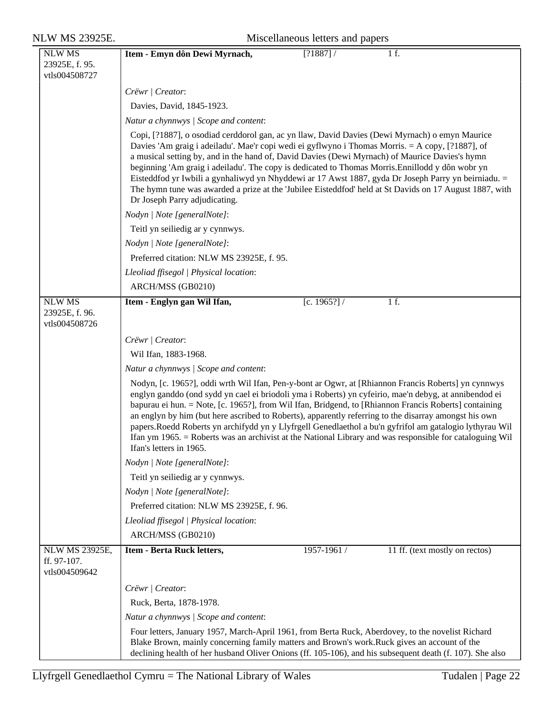| <b>NLW MS 23925E.</b>                            | Miscellaneous letters and papers                                                                                                                                                                                                                                                                                                                                                                                                                                                                                                                                                                                                                                                 |  |  |  |  |
|--------------------------------------------------|----------------------------------------------------------------------------------------------------------------------------------------------------------------------------------------------------------------------------------------------------------------------------------------------------------------------------------------------------------------------------------------------------------------------------------------------------------------------------------------------------------------------------------------------------------------------------------------------------------------------------------------------------------------------------------|--|--|--|--|
| <b>NLW MS</b><br>23925E, f. 95.<br>vtls004508727 | 1 f.<br>Item - Emyn dôn Dewi Myrnach,<br>[?1887] /                                                                                                                                                                                                                                                                                                                                                                                                                                                                                                                                                                                                                               |  |  |  |  |
|                                                  | Crëwr   Creator:                                                                                                                                                                                                                                                                                                                                                                                                                                                                                                                                                                                                                                                                 |  |  |  |  |
|                                                  | Davies, David, 1845-1923.                                                                                                                                                                                                                                                                                                                                                                                                                                                                                                                                                                                                                                                        |  |  |  |  |
|                                                  | Natur a chynnwys / Scope and content:                                                                                                                                                                                                                                                                                                                                                                                                                                                                                                                                                                                                                                            |  |  |  |  |
|                                                  | Copi, [?1887], o osodiad cerddorol gan, ac yn llaw, David Davies (Dewi Myrnach) o emyn Maurice<br>Davies 'Am graig i adeiladu'. Mae'r copi wedi ei gyflwyno i Thomas Morris. = A copy, [?1887], of<br>a musical setting by, and in the hand of, David Davies (Dewi Myrnach) of Maurice Davies's hymn<br>beginning 'Am graig i adeiladu'. The copy is dedicated to Thomas Morris. Ennillodd y dôn wobr yn<br>Eisteddfod yr Iwbili a gynhaliwyd yn Nhyddewi ar 17 Awst 1887, gyda Dr Joseph Parry yn beirniadu. =<br>The hymn tune was awarded a prize at the 'Jubilee Eisteddfod' held at St Davids on 17 August 1887, with<br>Dr Joseph Parry adjudicating.                      |  |  |  |  |
|                                                  | Nodyn   Note [generalNote]:                                                                                                                                                                                                                                                                                                                                                                                                                                                                                                                                                                                                                                                      |  |  |  |  |
|                                                  | Teitl yn seiliedig ar y cynnwys.                                                                                                                                                                                                                                                                                                                                                                                                                                                                                                                                                                                                                                                 |  |  |  |  |
|                                                  | Nodyn   Note [generalNote]:                                                                                                                                                                                                                                                                                                                                                                                                                                                                                                                                                                                                                                                      |  |  |  |  |
|                                                  | Preferred citation: NLW MS 23925E, f. 95.                                                                                                                                                                                                                                                                                                                                                                                                                                                                                                                                                                                                                                        |  |  |  |  |
|                                                  | Lleoliad ffisegol   Physical location:                                                                                                                                                                                                                                                                                                                                                                                                                                                                                                                                                                                                                                           |  |  |  |  |
|                                                  | ARCH/MSS (GB0210)                                                                                                                                                                                                                                                                                                                                                                                                                                                                                                                                                                                                                                                                |  |  |  |  |
| <b>NLW MS</b><br>23925E, f. 96.<br>vtls004508726 | [c. 1965?] /<br>1 f.<br>Item - Englyn gan Wil Ifan,                                                                                                                                                                                                                                                                                                                                                                                                                                                                                                                                                                                                                              |  |  |  |  |
|                                                  | Crëwr   Creator:                                                                                                                                                                                                                                                                                                                                                                                                                                                                                                                                                                                                                                                                 |  |  |  |  |
|                                                  | Wil Ifan, 1883-1968.                                                                                                                                                                                                                                                                                                                                                                                                                                                                                                                                                                                                                                                             |  |  |  |  |
|                                                  | Natur a chynnwys / Scope and content:                                                                                                                                                                                                                                                                                                                                                                                                                                                                                                                                                                                                                                            |  |  |  |  |
|                                                  | Nodyn, [c. 1965?], oddi wrth Wil Ifan, Pen-y-bont ar Ogwr, at [Rhiannon Francis Roberts] yn cynnwys<br>englyn ganddo (ond sydd yn cael ei briodoli yma i Roberts) yn cyfeirio, mae'n debyg, at annibendod ei<br>bapurau ei hun. = Note, [c. 1965?], from Wil Ifan, Bridgend, to [Rhiannon Francis Roberts] containing<br>an englyn by him (but here ascribed to Roberts), apparently referring to the disarray amongst his own<br>papers.Roedd Roberts yn archifydd yn y Llyfrgell Genedlaethol a bu'n gyfrifol am gatalogio lythyrau Wil<br>Ifan ym 1965. = Roberts was an archivist at the National Library and was responsible for cataloguing Wil<br>Ifan's letters in 1965. |  |  |  |  |
|                                                  | Nodyn   Note [generalNote]:                                                                                                                                                                                                                                                                                                                                                                                                                                                                                                                                                                                                                                                      |  |  |  |  |
|                                                  | Teitl yn seiliedig ar y cynnwys.                                                                                                                                                                                                                                                                                                                                                                                                                                                                                                                                                                                                                                                 |  |  |  |  |
|                                                  | Nodyn   Note [generalNote]:                                                                                                                                                                                                                                                                                                                                                                                                                                                                                                                                                                                                                                                      |  |  |  |  |
|                                                  | Preferred citation: NLW MS 23925E, f. 96.                                                                                                                                                                                                                                                                                                                                                                                                                                                                                                                                                                                                                                        |  |  |  |  |
|                                                  | Lleoliad ffisegol   Physical location:                                                                                                                                                                                                                                                                                                                                                                                                                                                                                                                                                                                                                                           |  |  |  |  |
|                                                  | ARCH/MSS (GB0210)                                                                                                                                                                                                                                                                                                                                                                                                                                                                                                                                                                                                                                                                |  |  |  |  |
| NLW MS 23925E,<br>ff. 97-107.<br>vtls004509642   | 11 ff. (text mostly on rectos)<br>Item - Berta Ruck letters,<br>1957-1961 /                                                                                                                                                                                                                                                                                                                                                                                                                                                                                                                                                                                                      |  |  |  |  |
|                                                  | Crëwr   Creator:                                                                                                                                                                                                                                                                                                                                                                                                                                                                                                                                                                                                                                                                 |  |  |  |  |
|                                                  | Ruck, Berta, 1878-1978.                                                                                                                                                                                                                                                                                                                                                                                                                                                                                                                                                                                                                                                          |  |  |  |  |
|                                                  | Natur a chynnwys / Scope and content:                                                                                                                                                                                                                                                                                                                                                                                                                                                                                                                                                                                                                                            |  |  |  |  |
|                                                  | Four letters, January 1957, March-April 1961, from Berta Ruck, Aberdovey, to the novelist Richard<br>Blake Brown, mainly concerning family matters and Brown's work. Ruck gives an account of the<br>declining health of her husband Oliver Onions (ff. 105-106), and his subsequent death (f. 107). She also                                                                                                                                                                                                                                                                                                                                                                    |  |  |  |  |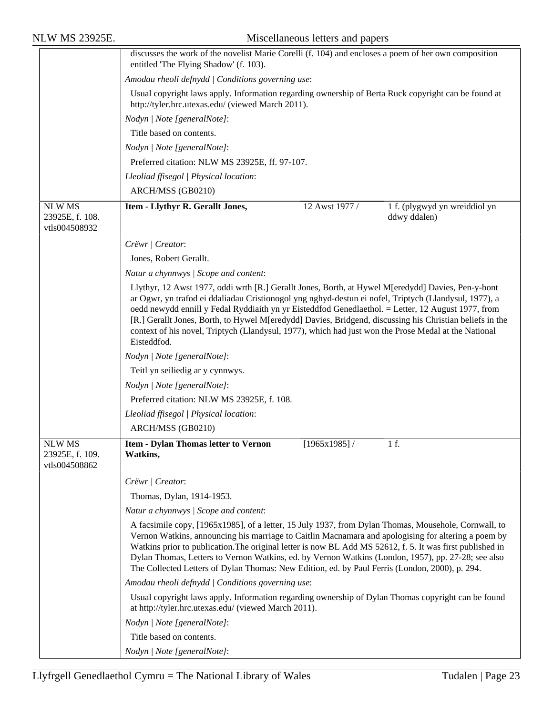|                                                   | discusses the work of the novelist Marie Corelli (f. 104) and encloses a poem of her own composition<br>entitled 'The Flying Shadow' (f. 103).                                                                                                                                                                                                                                                                                                                                                                                                       |  |  |  |
|---------------------------------------------------|------------------------------------------------------------------------------------------------------------------------------------------------------------------------------------------------------------------------------------------------------------------------------------------------------------------------------------------------------------------------------------------------------------------------------------------------------------------------------------------------------------------------------------------------------|--|--|--|
|                                                   | Amodau rheoli defnydd   Conditions governing use:                                                                                                                                                                                                                                                                                                                                                                                                                                                                                                    |  |  |  |
|                                                   | Usual copyright laws apply. Information regarding ownership of Berta Ruck copyright can be found at<br>http://tyler.hrc.utexas.edu/ (viewed March 2011).                                                                                                                                                                                                                                                                                                                                                                                             |  |  |  |
|                                                   | Nodyn   Note [generalNote]:                                                                                                                                                                                                                                                                                                                                                                                                                                                                                                                          |  |  |  |
|                                                   | Title based on contents.                                                                                                                                                                                                                                                                                                                                                                                                                                                                                                                             |  |  |  |
|                                                   | Nodyn   Note [generalNote]:                                                                                                                                                                                                                                                                                                                                                                                                                                                                                                                          |  |  |  |
|                                                   | Preferred citation: NLW MS 23925E, ff. 97-107.                                                                                                                                                                                                                                                                                                                                                                                                                                                                                                       |  |  |  |
|                                                   | Lleoliad ffisegol   Physical location:                                                                                                                                                                                                                                                                                                                                                                                                                                                                                                               |  |  |  |
|                                                   | ARCH/MSS (GB0210)                                                                                                                                                                                                                                                                                                                                                                                                                                                                                                                                    |  |  |  |
| <b>NLW MS</b>                                     | 1 f. (plygwyd yn wreiddiol yn<br>Item - Llythyr R. Gerallt Jones,<br>12 Awst 1977 /                                                                                                                                                                                                                                                                                                                                                                                                                                                                  |  |  |  |
| 23925E, f. 108.<br>vtls004508932                  | ddwy ddalen)                                                                                                                                                                                                                                                                                                                                                                                                                                                                                                                                         |  |  |  |
|                                                   | Crëwr   Creator:                                                                                                                                                                                                                                                                                                                                                                                                                                                                                                                                     |  |  |  |
|                                                   | Jones, Robert Gerallt.                                                                                                                                                                                                                                                                                                                                                                                                                                                                                                                               |  |  |  |
|                                                   | Natur a chynnwys / Scope and content:                                                                                                                                                                                                                                                                                                                                                                                                                                                                                                                |  |  |  |
|                                                   | Llythyr, 12 Awst 1977, oddi wrth [R.] Gerallt Jones, Borth, at Hywel M[eredydd] Davies, Pen-y-bont<br>ar Ogwr, yn trafod ei ddaliadau Cristionogol yng nghyd-destun ei nofel, Triptych (Llandysul, 1977), a<br>oedd newydd ennill y Fedal Ryddiaith yn yr Eisteddfod Genedlaethol. = Letter, 12 August 1977, from<br>[R.] Gerallt Jones, Borth, to Hywel M[eredydd] Davies, Bridgend, discussing his Christian beliefs in the<br>context of his novel, Triptych (Llandysul, 1977), which had just won the Prose Medal at the National<br>Eisteddfod. |  |  |  |
|                                                   | Nodyn   Note [generalNote]:                                                                                                                                                                                                                                                                                                                                                                                                                                                                                                                          |  |  |  |
|                                                   | Teitl yn seiliedig ar y cynnwys.                                                                                                                                                                                                                                                                                                                                                                                                                                                                                                                     |  |  |  |
|                                                   | Nodyn   Note [generalNote]:                                                                                                                                                                                                                                                                                                                                                                                                                                                                                                                          |  |  |  |
|                                                   | Preferred citation: NLW MS 23925E, f. 108.                                                                                                                                                                                                                                                                                                                                                                                                                                                                                                           |  |  |  |
|                                                   | Lleoliad ffisegol   Physical location:                                                                                                                                                                                                                                                                                                                                                                                                                                                                                                               |  |  |  |
|                                                   | ARCH/MSS (GB0210)                                                                                                                                                                                                                                                                                                                                                                                                                                                                                                                                    |  |  |  |
| <b>NLW MS</b><br>23925E, f. 109.<br>vtls004508862 | 1 f.<br><b>Item - Dylan Thomas letter to Vernon</b><br>[1965x1985]<br>Watkins,                                                                                                                                                                                                                                                                                                                                                                                                                                                                       |  |  |  |
|                                                   | Crëwr   Creator:                                                                                                                                                                                                                                                                                                                                                                                                                                                                                                                                     |  |  |  |
|                                                   | Thomas, Dylan, 1914-1953.                                                                                                                                                                                                                                                                                                                                                                                                                                                                                                                            |  |  |  |
|                                                   | Natur a chynnwys / Scope and content:                                                                                                                                                                                                                                                                                                                                                                                                                                                                                                                |  |  |  |
|                                                   | A facsimile copy, [1965x1985], of a letter, 15 July 1937, from Dylan Thomas, Mousehole, Cornwall, to<br>Vernon Watkins, announcing his marriage to Caitlin Macnamara and apologising for altering a poem by<br>Watkins prior to publication. The original letter is now BL Add MS 52612, f. 5. It was first published in<br>Dylan Thomas, Letters to Vernon Watkins, ed. by Vernon Watkins (London, 1957), pp. 27-28; see also<br>The Collected Letters of Dylan Thomas: New Edition, ed. by Paul Ferris (London, 2000), p. 294.                     |  |  |  |
|                                                   | Amodau rheoli defnydd   Conditions governing use:                                                                                                                                                                                                                                                                                                                                                                                                                                                                                                    |  |  |  |
|                                                   | Usual copyright laws apply. Information regarding ownership of Dylan Thomas copyright can be found<br>at http://tyler.hrc.utexas.edu/ (viewed March 2011).                                                                                                                                                                                                                                                                                                                                                                                           |  |  |  |
|                                                   | Nodyn   Note [generalNote]:                                                                                                                                                                                                                                                                                                                                                                                                                                                                                                                          |  |  |  |
|                                                   | Title based on contents.                                                                                                                                                                                                                                                                                                                                                                                                                                                                                                                             |  |  |  |
|                                                   | Nodyn   Note [generalNote]:                                                                                                                                                                                                                                                                                                                                                                                                                                                                                                                          |  |  |  |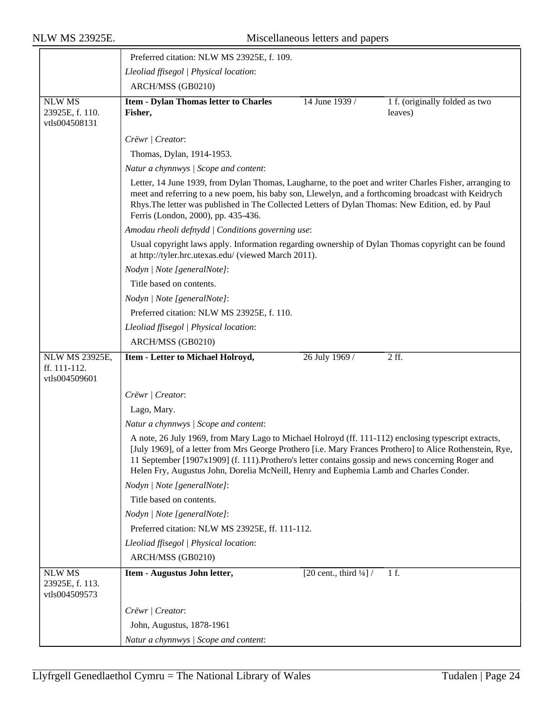|                                                   | Preferred citation: NLW MS 23925E, f. 109.                                                                                                                                                                                                                                                                                                                                                                        |  |  |  |  |
|---------------------------------------------------|-------------------------------------------------------------------------------------------------------------------------------------------------------------------------------------------------------------------------------------------------------------------------------------------------------------------------------------------------------------------------------------------------------------------|--|--|--|--|
|                                                   | Lleoliad ffisegol   Physical location:                                                                                                                                                                                                                                                                                                                                                                            |  |  |  |  |
|                                                   | ARCH/MSS (GB0210)                                                                                                                                                                                                                                                                                                                                                                                                 |  |  |  |  |
| <b>NLW MS</b><br>23925E, f. 110.<br>vtls004508131 | <b>Item - Dylan Thomas letter to Charles</b><br>14 June 1939 /<br>1 f. (originally folded as two<br>Fisher,<br>leaves)                                                                                                                                                                                                                                                                                            |  |  |  |  |
|                                                   | Crëwr   Creator:                                                                                                                                                                                                                                                                                                                                                                                                  |  |  |  |  |
|                                                   | Thomas, Dylan, 1914-1953.                                                                                                                                                                                                                                                                                                                                                                                         |  |  |  |  |
|                                                   | Natur a chynnwys / Scope and content:                                                                                                                                                                                                                                                                                                                                                                             |  |  |  |  |
|                                                   | Letter, 14 June 1939, from Dylan Thomas, Laugharne, to the poet and writer Charles Fisher, arranging to<br>meet and referring to a new poem, his baby son, Llewelyn, and a forthcoming broadcast with Keidrych<br>Rhys. The letter was published in The Collected Letters of Dylan Thomas: New Edition, ed. by Paul<br>Ferris (London, 2000), pp. 435-436.                                                        |  |  |  |  |
|                                                   | Amodau rheoli defnydd   Conditions governing use:                                                                                                                                                                                                                                                                                                                                                                 |  |  |  |  |
|                                                   | Usual copyright laws apply. Information regarding ownership of Dylan Thomas copyright can be found<br>at http://tyler.hrc.utexas.edu/ (viewed March 2011).                                                                                                                                                                                                                                                        |  |  |  |  |
|                                                   | Nodyn   Note [generalNote]:                                                                                                                                                                                                                                                                                                                                                                                       |  |  |  |  |
|                                                   | Title based on contents.                                                                                                                                                                                                                                                                                                                                                                                          |  |  |  |  |
|                                                   | Nodyn   Note [generalNote]:                                                                                                                                                                                                                                                                                                                                                                                       |  |  |  |  |
|                                                   | Preferred citation: NLW MS 23925E, f. 110.                                                                                                                                                                                                                                                                                                                                                                        |  |  |  |  |
|                                                   | Lleoliad ffisegol   Physical location:                                                                                                                                                                                                                                                                                                                                                                            |  |  |  |  |
|                                                   | ARCH/MSS (GB0210)                                                                                                                                                                                                                                                                                                                                                                                                 |  |  |  |  |
| NLW MS 23925E,<br>ff. 111-112.<br>vtls004509601   | $2$ ff.<br>Item - Letter to Michael Holroyd,<br>26 July 1969 /                                                                                                                                                                                                                                                                                                                                                    |  |  |  |  |
|                                                   | Crëwr   Creator:                                                                                                                                                                                                                                                                                                                                                                                                  |  |  |  |  |
|                                                   | Lago, Mary.                                                                                                                                                                                                                                                                                                                                                                                                       |  |  |  |  |
|                                                   | Natur a chynnwys / Scope and content:                                                                                                                                                                                                                                                                                                                                                                             |  |  |  |  |
|                                                   | A note, 26 July 1969, from Mary Lago to Michael Holroyd (ff. 111-112) enclosing typescript extracts,<br>[July 1969], of a letter from Mrs George Prothero [i.e. Mary Frances Prothero] to Alice Rothenstein, Rye,<br>11 September [1907x1909] (f. 111). Prothero's letter contains gossip and news concerning Roger and<br>Helen Fry, Augustus John, Dorelia McNeill, Henry and Euphemia Lamb and Charles Conder. |  |  |  |  |
|                                                   | Nodyn   Note [generalNote]:                                                                                                                                                                                                                                                                                                                                                                                       |  |  |  |  |
|                                                   | Title based on contents.                                                                                                                                                                                                                                                                                                                                                                                          |  |  |  |  |
|                                                   | Nodyn   Note [generalNote]:                                                                                                                                                                                                                                                                                                                                                                                       |  |  |  |  |
|                                                   | Preferred citation: NLW MS 23925E, ff. 111-112.                                                                                                                                                                                                                                                                                                                                                                   |  |  |  |  |
|                                                   | Lleoliad ffisegol   Physical location:                                                                                                                                                                                                                                                                                                                                                                            |  |  |  |  |
|                                                   | ARCH/MSS (GB0210)                                                                                                                                                                                                                                                                                                                                                                                                 |  |  |  |  |
| <b>NLW MS</b><br>23925E, f. 113.<br>vtls004509573 | [20 cent., third $\frac{1}{4}$ ] /<br>Item - Augustus John letter,<br>1 f.                                                                                                                                                                                                                                                                                                                                        |  |  |  |  |
|                                                   | Crëwr   Creator:                                                                                                                                                                                                                                                                                                                                                                                                  |  |  |  |  |
|                                                   | John, Augustus, 1878-1961                                                                                                                                                                                                                                                                                                                                                                                         |  |  |  |  |
|                                                   | Natur a chynnwys / Scope and content:                                                                                                                                                                                                                                                                                                                                                                             |  |  |  |  |